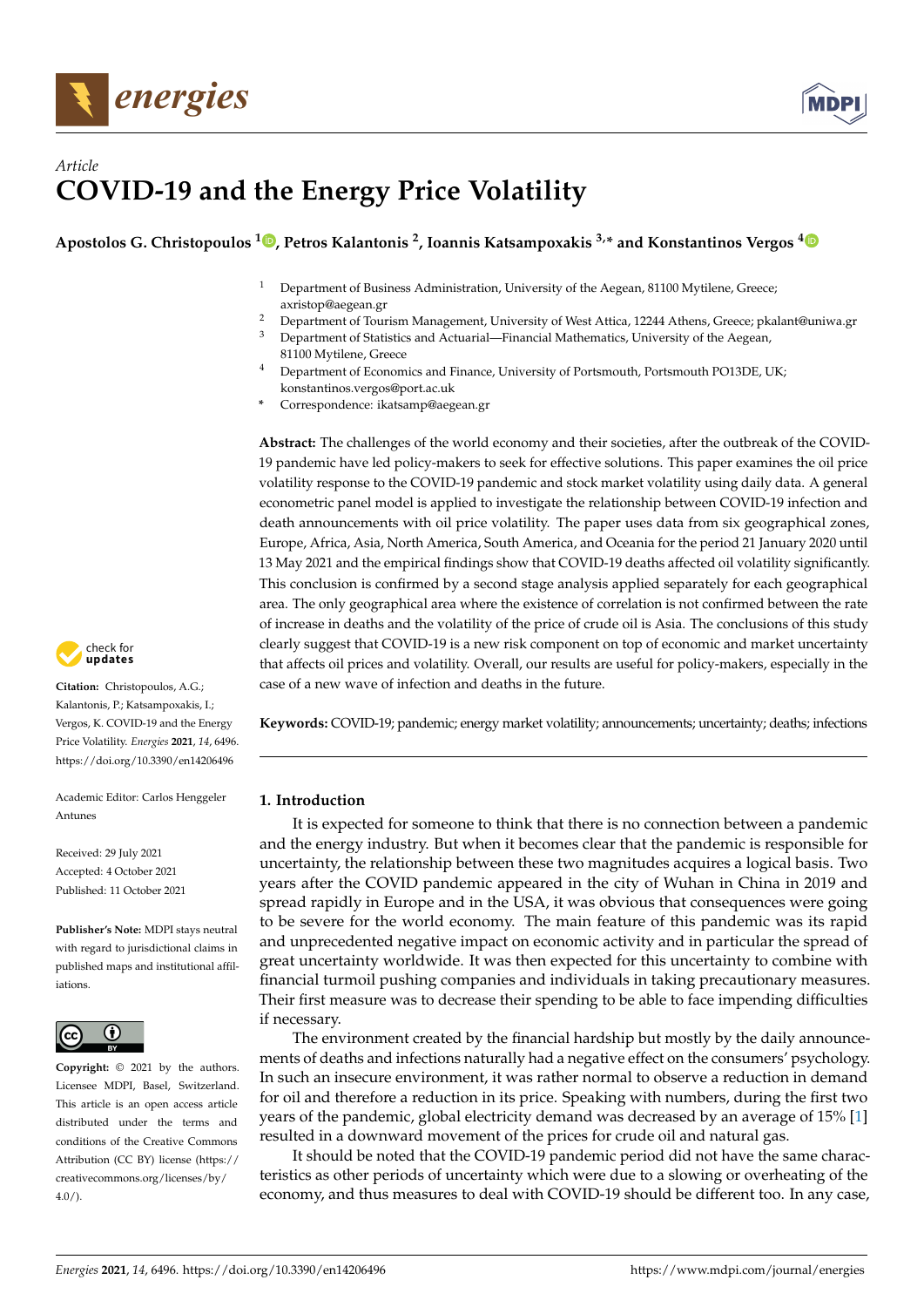



# *Article* **COVID-19 and the Energy Price Volatility**

## **Apostolos G. Christopoulos <sup>1</sup> [,](https://orcid.org/0000-0003-2617-970X) Petros Kalantonis <sup>2</sup> , Ioannis Katsampoxakis 3,\* and Konstantinos Vergos [4](https://orcid.org/0000-0002-2498-0379)**

- <sup>1</sup> Department of Business Administration, University of the Aegean, 81100 Mytilene, Greece; axristop@aegean.gr
- <sup>2</sup> Department of Tourism Management, University of West Attica, 12244 Athens, Greece; pkalant@uniwa.gr <sup>3</sup> Department of Statistics and Actuarial—Financial Mathematics, University of the Aegean,
- 81100 Mytilene, Greece <sup>4</sup> Department of Economics and Finance, University of Portsmouth, Portsmouth PO13DE, UK; konstantinos.vergos@port.ac.uk
- **\*** Correspondence: ikatsamp@aegean.gr

**Abstract:** The challenges of the world economy and their societies, after the outbreak of the COVID-19 pandemic have led policy-makers to seek for effective solutions. This paper examines the oil price volatility response to the COVID-19 pandemic and stock market volatility using daily data. A general econometric panel model is applied to investigate the relationship between COVID-19 infection and death announcements with oil price volatility. The paper uses data from six geographical zones, Europe, Africa, Asia, North America, South America, and Oceania for the period 21 January 2020 until 13 May 2021 and the empirical findings show that COVID-19 deaths affected oil volatility significantly. This conclusion is confirmed by a second stage analysis applied separately for each geographical area. The only geographical area where the existence of correlation is not confirmed between the rate of increase in deaths and the volatility of the price of crude oil is Asia. The conclusions of this study clearly suggest that COVID-19 is a new risk component on top of economic and market uncertainty that affects oil prices and volatility. Overall, our results are useful for policy-makers, especially in the case of a new wave of infection and deaths in the future.

**Keywords:** COVID-19; pandemic; energy market volatility; announcements; uncertainty; deaths; infections

#### **1. Introduction**

It is expected for someone to think that there is no connection between a pandemic and the energy industry. But when it becomes clear that the pandemic is responsible for uncertainty, the relationship between these two magnitudes acquires a logical basis. Two years after the COVID pandemic appeared in the city of Wuhan in China in 2019 and spread rapidly in Europe and in the USA, it was obvious that consequences were going to be severe for the world economy. The main feature of this pandemic was its rapid and unprecedented negative impact on economic activity and in particular the spread of great uncertainty worldwide. It was then expected for this uncertainty to combine with financial turmoil pushing companies and individuals in taking precautionary measures. Their first measure was to decrease their spending to be able to face impending difficulties if necessary.

The environment created by the financial hardship but mostly by the daily announcements of deaths and infections naturally had a negative effect on the consumers' psychology. In such an insecure environment, it was rather normal to observe a reduction in demand for oil and therefore a reduction in its price. Speaking with numbers, during the first two years of the pandemic, global electricity demand was decreased by an average of 15% [\[1\]](#page-13-0) resulted in a downward movement of the prices for crude oil and natural gas.

It should be noted that the COVID-19 pandemic period did not have the same characteristics as other periods of uncertainty which were due to a slowing or overheating of the economy, and thus measures to deal with COVID-19 should be different too. In any case,



**Citation:** Christopoulos, A.G.; Kalantonis, P.; Katsampoxakis, I.; Vergos, K. COVID-19 and the Energy Price Volatility. *Energies* **2021**, *14*, 6496. <https://doi.org/10.3390/en14206496>

Academic Editor: Carlos Henggeler Antunes

Received: 29 July 2021 Accepted: 4 October 2021 Published: 11 October 2021

**Publisher's Note:** MDPI stays neutral with regard to jurisdictional claims in published maps and institutional affiliations.



**Copyright:** © 2021 by the authors. Licensee MDPI, Basel, Switzerland. This article is an open access article distributed under the terms and conditions of the Creative Commons Attribution (CC BY) license (https:/[/](https://creativecommons.org/licenses/by/4.0/) [creativecommons.org/licenses/by/](https://creativecommons.org/licenses/by/4.0/)  $4.0/$ ).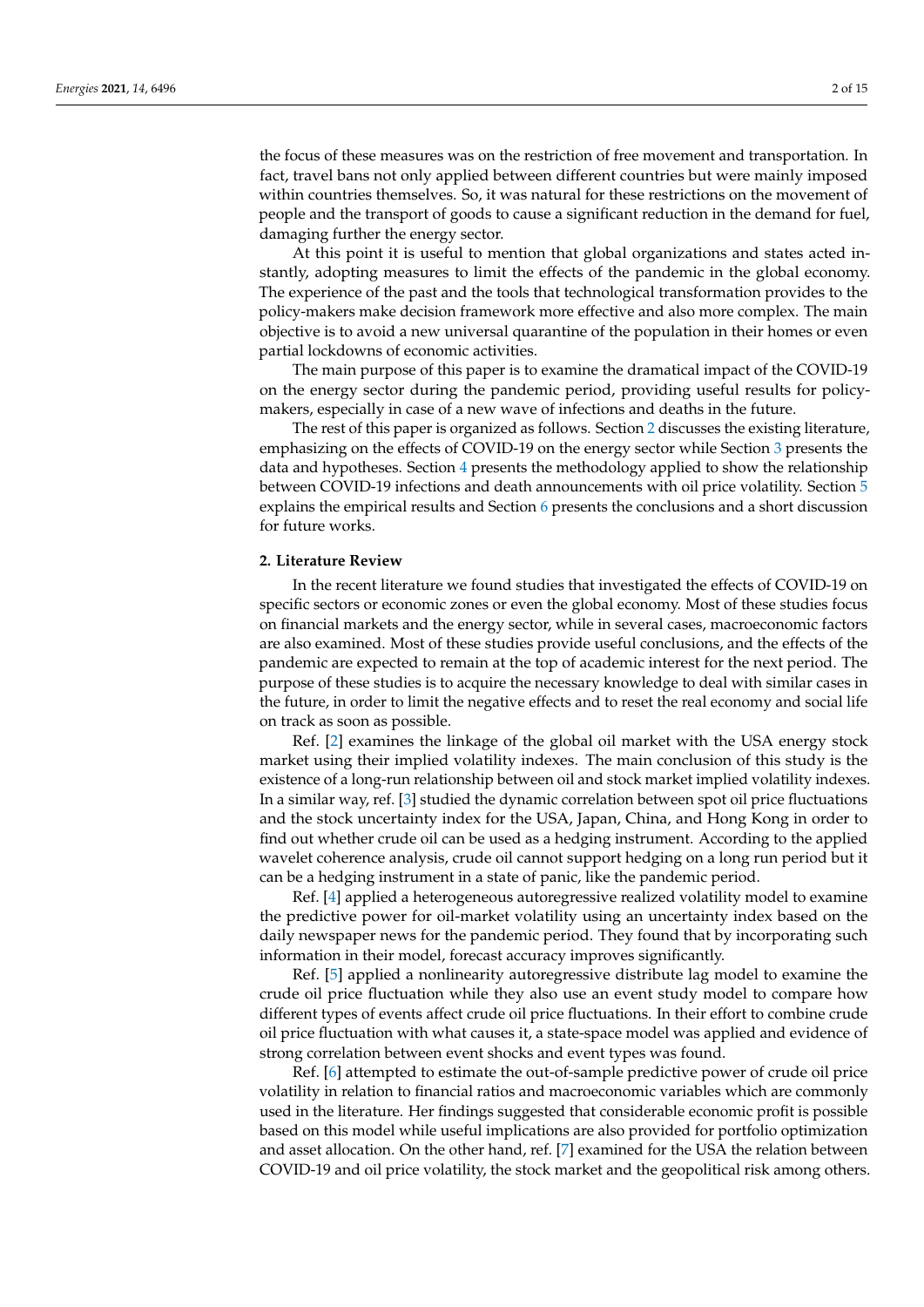the focus of these measures was on the restriction of free movement and transportation. In fact, travel bans not only applied between different countries but were mainly imposed within countries themselves. So, it was natural for these restrictions on the movement of people and the transport of goods to cause a significant reduction in the demand for fuel, damaging further the energy sector.

At this point it is useful to mention that global organizations and states acted instantly, adopting measures to limit the effects of the pandemic in the global economy. The experience of the past and the tools that technological transformation provides to the policy-makers make decision framework more effective and also more complex. The main objective is to avoid a new universal quarantine of the population in their homes or even partial lockdowns of economic activities.

The main purpose of this paper is to examine the dramatical impact of the COVID-19 on the energy sector during the pandemic period, providing useful results for policymakers, especially in case of a new wave of infections and deaths in the future.

The rest of this paper is organized as follows. Section [2](#page-1-0) discusses the existing literature, emphasizing on the effects of COVID-19 on the energy sector while Section [3](#page-3-0) presents the data and hypotheses. Section [4](#page-4-0) presents the methodology applied to show the relationship between COVID-19 infections and death announcements with oil price volatility. Section [5](#page-5-0) explains the empirical results and Section [6](#page-12-0) presents the conclusions and a short discussion for future works.

#### <span id="page-1-0"></span>**2. Literature Review**

In the recent literature we found studies that investigated the effects of COVID-19 on specific sectors or economic zones or even the global economy. Most of these studies focus on financial markets and the energy sector, while in several cases, macroeconomic factors are also examined. Most of these studies provide useful conclusions, and the effects of the pandemic are expected to remain at the top of academic interest for the next period. The purpose of these studies is to acquire the necessary knowledge to deal with similar cases in the future, in order to limit the negative effects and to reset the real economy and social life on track as soon as possible.

Ref. [\[2\]](#page-13-1) examines the linkage of the global oil market with the USA energy stock market using their implied volatility indexes. The main conclusion of this study is the existence of a long-run relationship between oil and stock market implied volatility indexes. In a similar way, ref. [\[3\]](#page-13-2) studied the dynamic correlation between spot oil price fluctuations and the stock uncertainty index for the USA, Japan, China, and Hong Kong in order to find out whether crude oil can be used as a hedging instrument. According to the applied wavelet coherence analysis, crude oil cannot support hedging on a long run period but it can be a hedging instrument in a state of panic, like the pandemic period.

Ref. [\[4\]](#page-13-3) applied a heterogeneous autoregressive realized volatility model to examine the predictive power for oil-market volatility using an uncertainty index based on the daily newspaper news for the pandemic period. They found that by incorporating such information in their model, forecast accuracy improves significantly.

Ref. [\[5\]](#page-13-4) applied a nonlinearity autoregressive distribute lag model to examine the crude oil price fluctuation while they also use an event study model to compare how different types of events affect crude oil price fluctuations. In their effort to combine crude oil price fluctuation with what causes it, a state-space model was applied and evidence of strong correlation between event shocks and event types was found.

Ref. [\[6\]](#page-13-5) attempted to estimate the out-of-sample predictive power of crude oil price volatility in relation to financial ratios and macroeconomic variables which are commonly used in the literature. Her findings suggested that considerable economic profit is possible based on this model while useful implications are also provided for portfolio optimization and asset allocation. On the other hand, ref. [\[7\]](#page-14-0) examined for the USA the relation between COVID-19 and oil price volatility, the stock market and the geopolitical risk among others.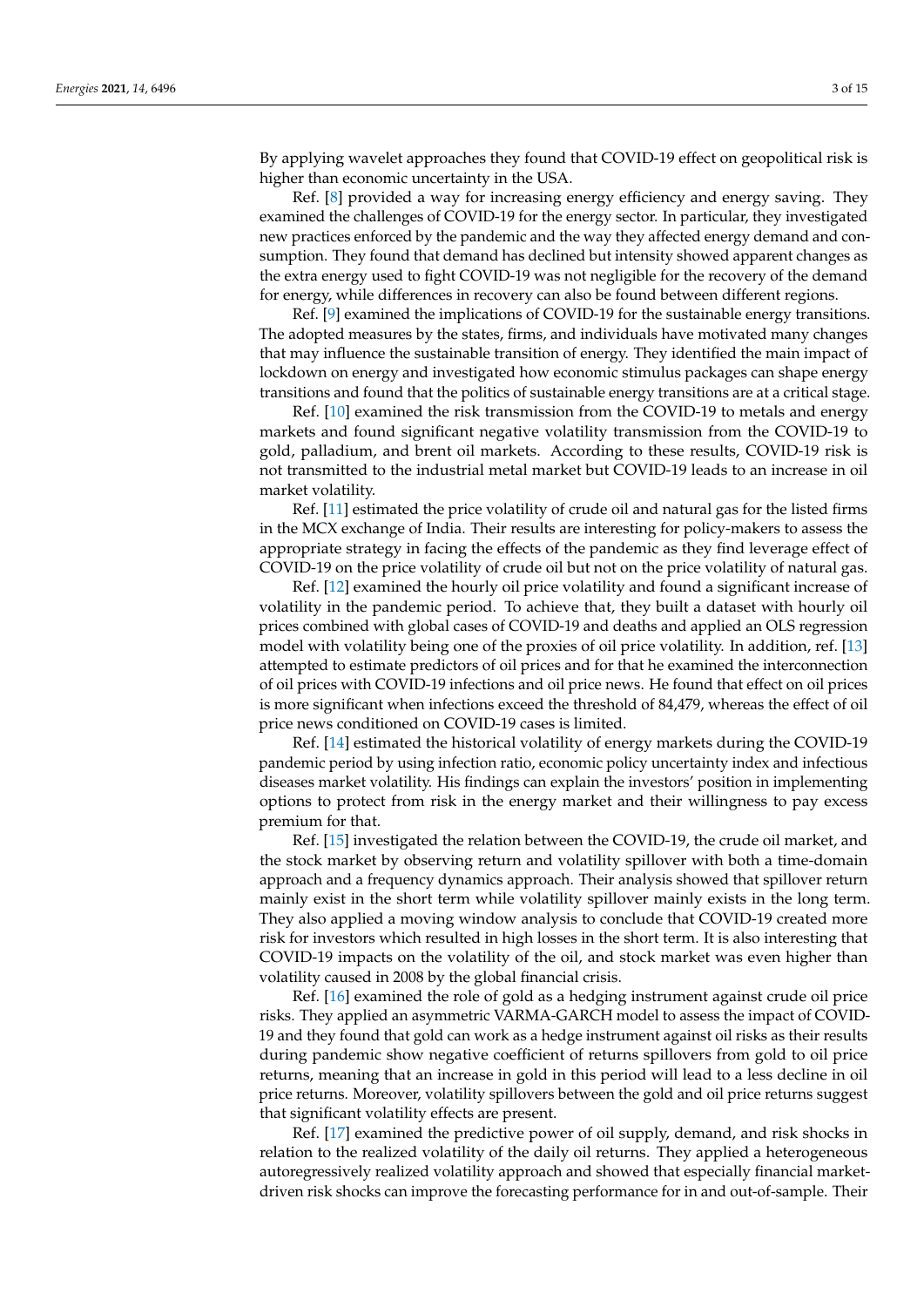By applying wavelet approaches they found that COVID-19 effect on geopolitical risk is higher than economic uncertainty in the USA.

Ref. [\[8\]](#page-14-1) provided a way for increasing energy efficiency and energy saving. They examined the challenges of COVID-19 for the energy sector. In particular, they investigated new practices enforced by the pandemic and the way they affected energy demand and consumption. They found that demand has declined but intensity showed apparent changes as the extra energy used to fight COVID-19 was not negligible for the recovery of the demand for energy, while differences in recovery can also be found between different regions.

Ref. [\[9\]](#page-14-2) examined the implications of COVID-19 for the sustainable energy transitions. The adopted measures by the states, firms, and individuals have motivated many changes that may influence the sustainable transition of energy. They identified the main impact of lockdown on energy and investigated how economic stimulus packages can shape energy transitions and found that the politics of sustainable energy transitions are at a critical stage.

Ref. [\[10\]](#page-14-3) examined the risk transmission from the COVID-19 to metals and energy markets and found significant negative volatility transmission from the COVID-19 to gold, palladium, and brent oil markets. According to these results, COVID-19 risk is not transmitted to the industrial metal market but COVID-19 leads to an increase in oil market volatility.

Ref. [\[11\]](#page-14-4) estimated the price volatility of crude oil and natural gas for the listed firms in the MCX exchange of India. Their results are interesting for policy-makers to assess the appropriate strategy in facing the effects of the pandemic as they find leverage effect of COVID-19 on the price volatility of crude oil but not on the price volatility of natural gas.

Ref. [\[12\]](#page-14-5) examined the hourly oil price volatility and found a significant increase of volatility in the pandemic period. To achieve that, they built a dataset with hourly oil prices combined with global cases of COVID-19 and deaths and applied an OLS regression model with volatility being one of the proxies of oil price volatility. In addition, ref. [\[13\]](#page-14-6) attempted to estimate predictors of oil prices and for that he examined the interconnection of oil prices with COVID-19 infections and oil price news. He found that effect on oil prices is more significant when infections exceed the threshold of 84,479, whereas the effect of oil price news conditioned on COVID-19 cases is limited.

Ref. [\[14\]](#page-14-7) estimated the historical volatility of energy markets during the COVID-19 pandemic period by using infection ratio, economic policy uncertainty index and infectious diseases market volatility. His findings can explain the investors' position in implementing options to protect from risk in the energy market and their willingness to pay excess premium for that.

Ref. [\[15\]](#page-14-8) investigated the relation between the COVID-19, the crude oil market, and the stock market by observing return and volatility spillover with both a time-domain approach and a frequency dynamics approach. Their analysis showed that spillover return mainly exist in the short term while volatility spillover mainly exists in the long term. They also applied a moving window analysis to conclude that COVID-19 created more risk for investors which resulted in high losses in the short term. It is also interesting that COVID-19 impacts on the volatility of the oil, and stock market was even higher than volatility caused in 2008 by the global financial crisis.

Ref. [\[16\]](#page-14-9) examined the role of gold as a hedging instrument against crude oil price risks. They applied an asymmetric VARMA-GARCH model to assess the impact of COVID-19 and they found that gold can work as a hedge instrument against oil risks as their results during pandemic show negative coefficient of returns spillovers from gold to oil price returns, meaning that an increase in gold in this period will lead to a less decline in oil price returns. Moreover, volatility spillovers between the gold and oil price returns suggest that significant volatility effects are present.

Ref. [\[17\]](#page-14-10) examined the predictive power of oil supply, demand, and risk shocks in relation to the realized volatility of the daily oil returns. They applied a heterogeneous autoregressively realized volatility approach and showed that especially financial marketdriven risk shocks can improve the forecasting performance for in and out-of-sample. Their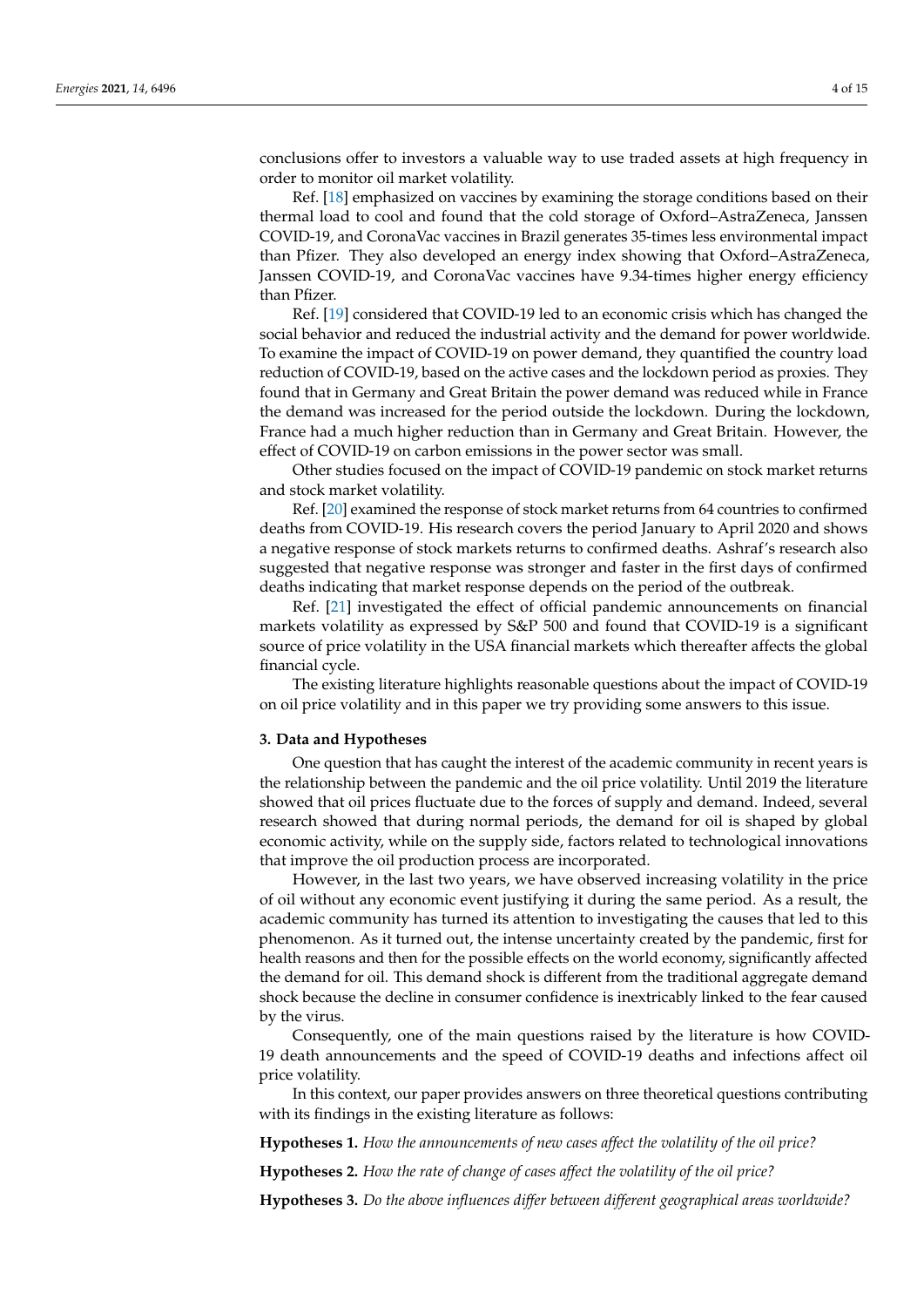conclusions offer to investors a valuable way to use traded assets at high frequency in order to monitor oil market volatility.

Ref. [\[18\]](#page-14-11) emphasized on vaccines by examining the storage conditions based on their thermal load to cool and found that the cold storage of Oxford–AstraZeneca, Janssen COVID-19, and CoronaVac vaccines in Brazil generates 35-times less environmental impact than Pfizer. They also developed an energy index showing that Oxford–AstraZeneca, Janssen COVID-19, and CoronaVac vaccines have 9.34-times higher energy efficiency than Pfizer.

Ref. [\[19\]](#page-14-12) considered that COVID-19 led to an economic crisis which has changed the social behavior and reduced the industrial activity and the demand for power worldwide. To examine the impact of COVID-19 on power demand, they quantified the country load reduction of COVID-19, based on the active cases and the lockdown period as proxies. They found that in Germany and Great Britain the power demand was reduced while in France the demand was increased for the period outside the lockdown. During the lockdown, France had a much higher reduction than in Germany and Great Britain. However, the effect of COVID-19 on carbon emissions in the power sector was small.

Other studies focused on the impact of COVID-19 pandemic on stock market returns and stock market volatility.

Ref. [\[20\]](#page-14-13) examined the response of stock market returns from 64 countries to confirmed deaths from COVID-19. His research covers the period January to April 2020 and shows a negative response of stock markets returns to confirmed deaths. Ashraf's research also suggested that negative response was stronger and faster in the first days of confirmed deaths indicating that market response depends on the period of the outbreak.

Ref. [\[21\]](#page-14-14) investigated the effect of official pandemic announcements on financial markets volatility as expressed by S&P 500 and found that COVID-19 is a significant source of price volatility in the USA financial markets which thereafter affects the global financial cycle.

The existing literature highlights reasonable questions about the impact of COVID-19 on oil price volatility and in this paper we try providing some answers to this issue.

#### <span id="page-3-0"></span>**3. Data and Hypotheses**

One question that has caught the interest of the academic community in recent years is the relationship between the pandemic and the oil price volatility. Until 2019 the literature showed that oil prices fluctuate due to the forces of supply and demand. Indeed, several research showed that during normal periods, the demand for oil is shaped by global economic activity, while on the supply side, factors related to technological innovations that improve the oil production process are incorporated.

However, in the last two years, we have observed increasing volatility in the price of oil without any economic event justifying it during the same period. As a result, the academic community has turned its attention to investigating the causes that led to this phenomenon. As it turned out, the intense uncertainty created by the pandemic, first for health reasons and then for the possible effects on the world economy, significantly affected the demand for oil. This demand shock is different from the traditional aggregate demand shock because the decline in consumer confidence is inextricably linked to the fear caused by the virus.

Consequently, one of the main questions raised by the literature is how COVID-19 death announcements and the speed of COVID-19 deaths and infections affect oil price volatility.

In this context, our paper provides answers on three theoretical questions contributing with its findings in the existing literature as follows:

**Hypotheses 1.** *How the announcements of new cases affect the volatility of the oil price?*

**Hypotheses 2.** *How the rate of change of cases affect the volatility of the oil price?*

**Hypotheses 3.** *Do the above influences differ between different geographical areas worldwide?*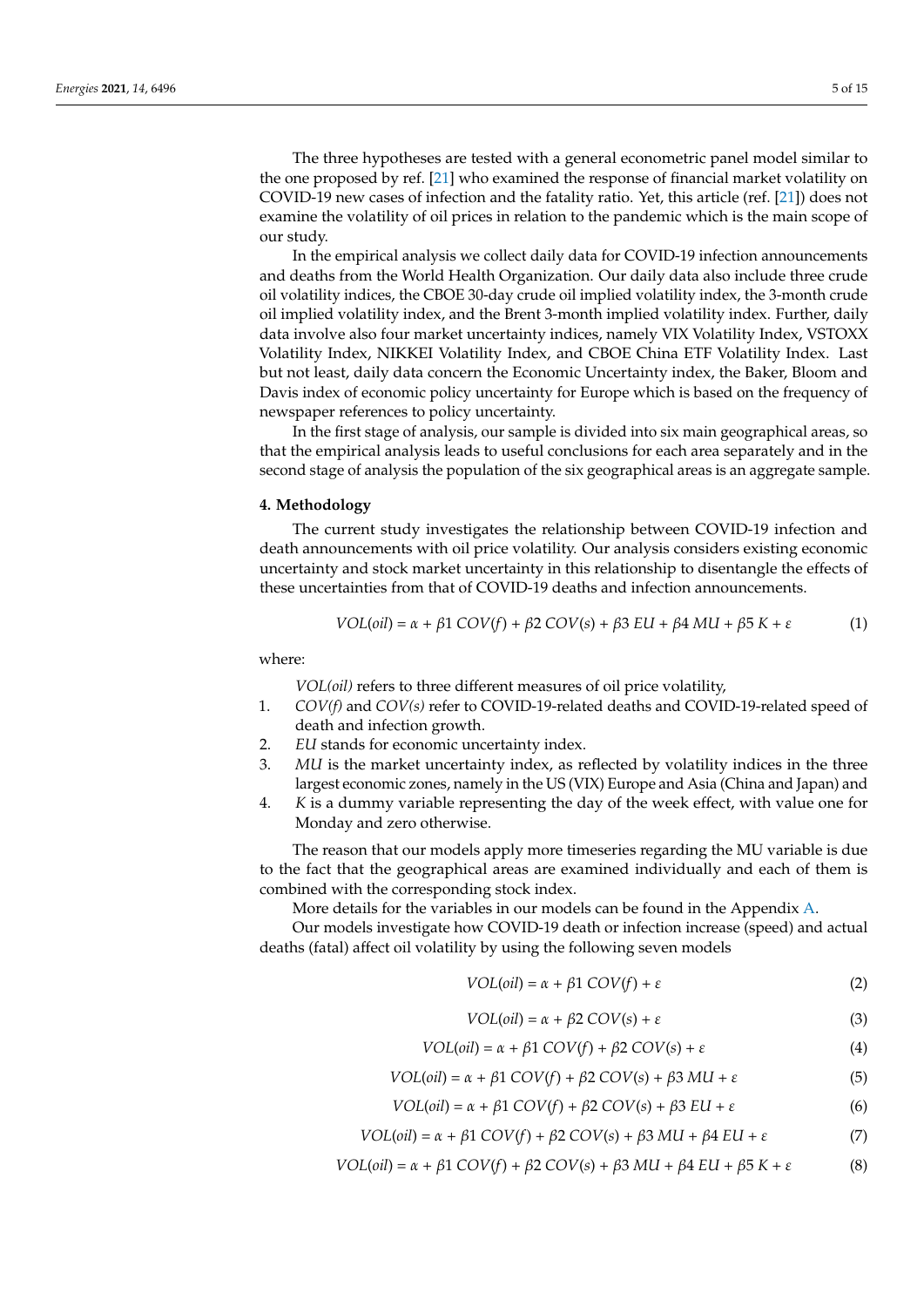The three hypotheses are tested with a general econometric panel model similar to the one proposed by ref. [\[21\]](#page-14-14) who examined the response of financial market volatility on COVID-19 new cases of infection and the fatality ratio. Yet, this article (ref. [\[21\]](#page-14-14)) does not examine the volatility of oil prices in relation to the pandemic which is the main scope of our study.

In the empirical analysis we collect daily data for COVID-19 infection announcements and deaths from the World Health Organization. Our daily data also include three crude oil volatility indices, the CBOE 30-day crude oil implied volatility index, the 3-month crude oil implied volatility index, and the Brent 3-month implied volatility index. Further, daily data involve also four market uncertainty indices, namely VIX Volatility Index, VSTOXX Volatility Index, NIKKEI Volatility Index, and CBOE China ETF Volatility Index. Last but not least, daily data concern the Economic Uncertainty index, the Baker, Bloom and Davis index of economic policy uncertainty for Europe which is based on the frequency of newspaper references to policy uncertainty.

In the first stage of analysis, our sample is divided into six main geographical areas, so that the empirical analysis leads to useful conclusions for each area separately and in the second stage of analysis the population of the six geographical areas is an aggregate sample.

#### <span id="page-4-0"></span>**4. Methodology**

The current study investigates the relationship between COVID-19 infection and death announcements with oil price volatility. Our analysis considers existing economic uncertainty and stock market uncertainty in this relationship to disentangle the effects of these uncertainties from that of COVID-19 deaths and infection announcements.

$$
VOL(oil) = \alpha + \beta 1 \, COV(f) + \beta 2 \, COV(s) + \beta 3 \, EU + \beta 4 \, MU + \beta 5 \, K + \varepsilon \tag{1}
$$

where:

*VOL(oil)* refers to three different measures of oil price volatility,

- 1. *COV(f)* and *COV(s)* refer to COVID-19-related deaths and COVID-19-related speed of death and infection growth.
- 2. *EU* stands for economic uncertainty index.
- 3. *MU* is the market uncertainty index, as reflected by volatility indices in the three largest economic zones, namely in the US (VIX) Europe and Asia (China and Japan) and
- 4. *K* is a dummy variable representing the day of the week effect, with value one for Monday and zero otherwise.

The reason that our models apply more timeseries regarding the MU variable is due to the fact that the geographical areas are examined individually and each of them is combined with the corresponding stock index.

More details for the variables in our models can be found in the Appendix [A.](#page-13-6)

Our models investigate how COVID-19 death or infection increase (speed) and actual deaths (fatal) affect oil volatility by using the following seven models

$$
VOL(oil) = \alpha + \beta 1 \cdot COVID(f) + \varepsilon \tag{2}
$$

$$
VOL(oil) = \alpha + \beta 2\ COV(s) + \varepsilon
$$
\n(3)

$$
VOL(oil) = \alpha + \beta 1 \, COV(f) + \beta 2 \, COV(s) + \varepsilon \tag{4}
$$

$$
VOL(oil) = \alpha + \beta 1 \, COV(f) + \beta 2 \, COV(s) + \beta 3 \, MUI + \varepsilon \tag{5}
$$

$$
VOL(oil) = \alpha + \beta 1 \, COV(f) + \beta 2 \, COV(s) + \beta 3 \, EU + \varepsilon \tag{6}
$$

$$
VOL(oil) = \alpha + \beta 1 \, COV(f) + \beta 2 \, COV(s) + \beta 3 \, MU + \beta 4 \, EU + \varepsilon \tag{7}
$$

$$
VOL(oil) = \alpha + \beta 1 \, COV(f) + \beta 2 \, COV(s) + \beta 3 \, MU + \beta 4 \, EU + \beta 5 \, K + \varepsilon \tag{8}
$$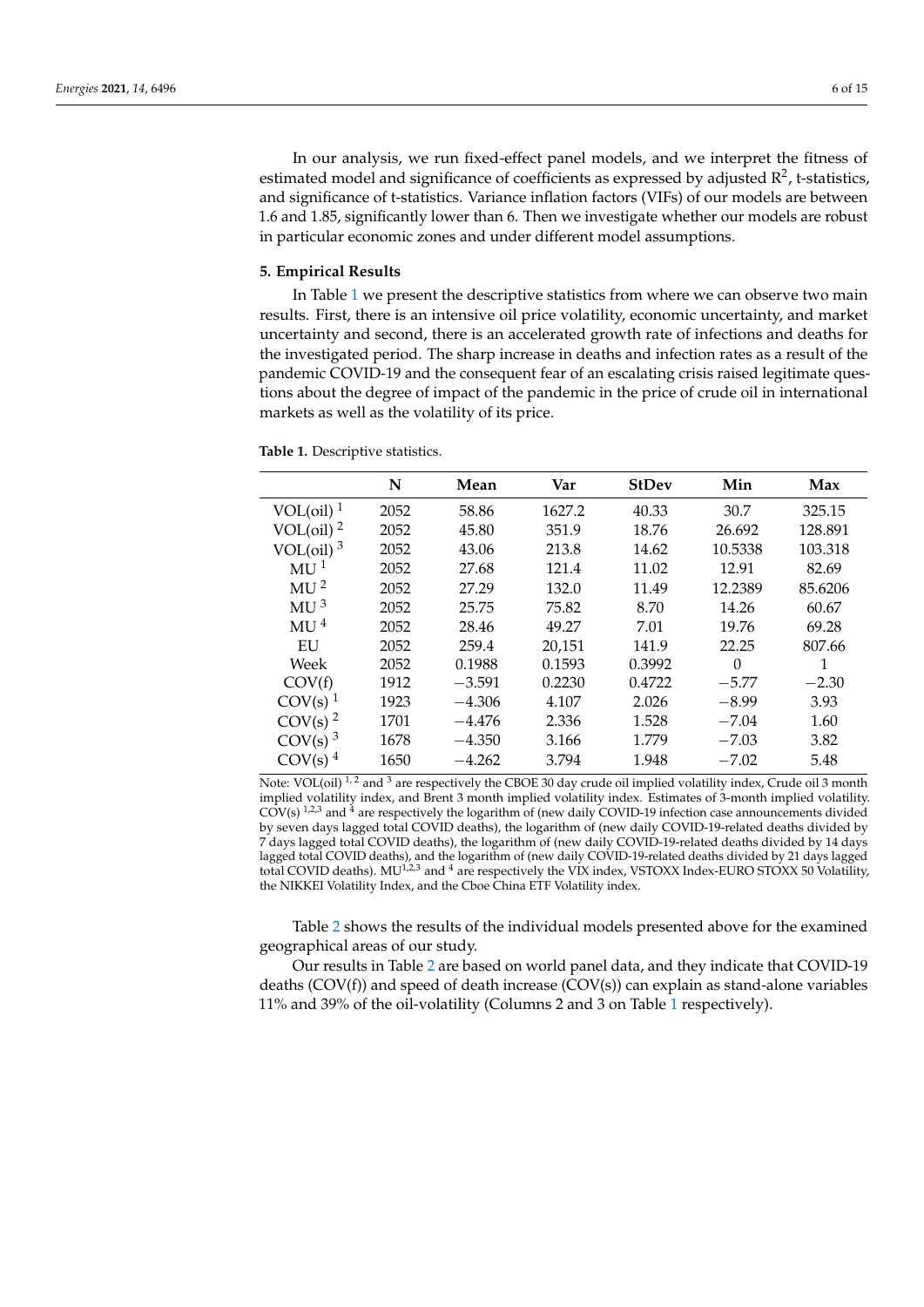In our analysis, we run fixed-effect panel models, and we interpret the fitness of estimated model and significance of coefficients as expressed by adjusted  $\mathbb{R}^2$ , t-statistics, and significance of t-statistics. Variance inflation factors (VIFs) of our models are between 1.6 and 1.85, significantly lower than 6. Then we investigate whether our models are robust in particular economic zones and under different model assumptions.

#### <span id="page-5-0"></span>**5. Empirical Results**

In Table [1](#page-5-1) we present the descriptive statistics from where we can observe two main results. First, there is an intensive oil price volatility, economic uncertainty, and market uncertainty and second, there is an accelerated growth rate of infections and deaths for the investigated period. The sharp increase in deaths and infection rates as a result of the pandemic COVID-19 and the consequent fear of an escalating crisis raised legitimate questions about the degree of impact of the pandemic in the price of crude oil in international markets as well as the volatility of its price.

<span id="page-5-1"></span>**Table 1.** Descriptive statistics.

|                                 | N    | Mean     | Var    | <b>StDev</b> | Min      | Max     |
|---------------------------------|------|----------|--------|--------------|----------|---------|
| VOL $\text{(oil)}$ <sup>1</sup> | 2052 | 58.86    | 1627.2 | 40.33        | 30.7     | 325.15  |
| VOL $\rm (oil)$ <sup>2</sup>    | 2052 | 45.80    | 351.9  | 18.76        | 26.692   | 128.891 |
| VOL $\text{(oil)}^3$            | 2052 | 43.06    | 213.8  | 14.62        | 10.5338  | 103.318 |
| MU <sup>1</sup>                 | 2052 | 27.68    | 121.4  | 11.02        | 12.91    | 82.69   |
| MU <sup>2</sup>                 | 2052 | 27.29    | 132.0  | 11.49        | 12.2389  | 85.6206 |
| MU <sup>3</sup>                 | 2052 | 25.75    | 75.82  | 8.70         | 14.26    | 60.67   |
| MU <sup>4</sup>                 | 2052 | 28.46    | 49.27  | 7.01         | 19.76    | 69.28   |
| EU                              | 2052 | 259.4    | 20,151 | 141.9        | 22.25    | 807.66  |
| Week                            | 2052 | 0.1988   | 0.1593 | 0.3992       | $\Omega$ |         |
| COV(f)                          | 1912 | $-3.591$ | 0.2230 | 0.4722       | $-5.77$  | $-2.30$ |
| $COV(s)$ <sup>1</sup>           | 1923 | $-4.306$ | 4.107  | 2.026        | $-8.99$  | 3.93    |
| $COV(s)$ <sup>2</sup>           | 1701 | $-4.476$ | 2.336  | 1.528        | $-7.04$  | 1.60    |
| $COV(s)$ <sup>3</sup>           | 1678 | $-4.350$ | 3.166  | 1.779        | $-7.03$  | 3.82    |
| $COV(s)$ <sup>4</sup>           | 1650 | $-4.262$ | 3.794  | 1.948        | $-7.02$  | 5.48    |

Note: VOL(oil)  $1/2$  and 3 are respectively the CBOE 30 day crude oil implied volatility index, Crude oil 3 month implied volatility index, and Brent 3 month implied volatility index. Estimates of 3-month implied volatility.  $COV(s)$ <sup>1,2,3</sup> and <sup>4</sup> are respectively the logarithm of (new daily COVID-19 infection case announcements divided by seven days lagged total COVID deaths), the logarithm of (new daily COVID-19-related deaths divided by 7 days lagged total COVID deaths), the logarithm of (new daily COVID-19-related deaths divided by 14 days lagged total COVID deaths), and the logarithm of (new daily COVID-19-related deaths divided by 21 days lagged total COVID deaths). MU<sup>1,2,3</sup> and <sup>4</sup> are respectively the VIX index, VSTOXX Index-EURO STOXX 50 Volatility, the NIKKEI Volatility Index, and the Cboe China ETF Volatility index.

Table [2](#page-6-0) shows the results of the individual models presented above for the examined geographical areas of our study.

Our results in Table [2](#page-6-0) are based on world panel data, and they indicate that COVID-19 deaths (COV(f)) and speed of death increase (COV(s)) can explain as stand-alone variables 11% and 39% of the oil-volatility (Columns 2 and 3 on Table [1](#page-5-1) respectively).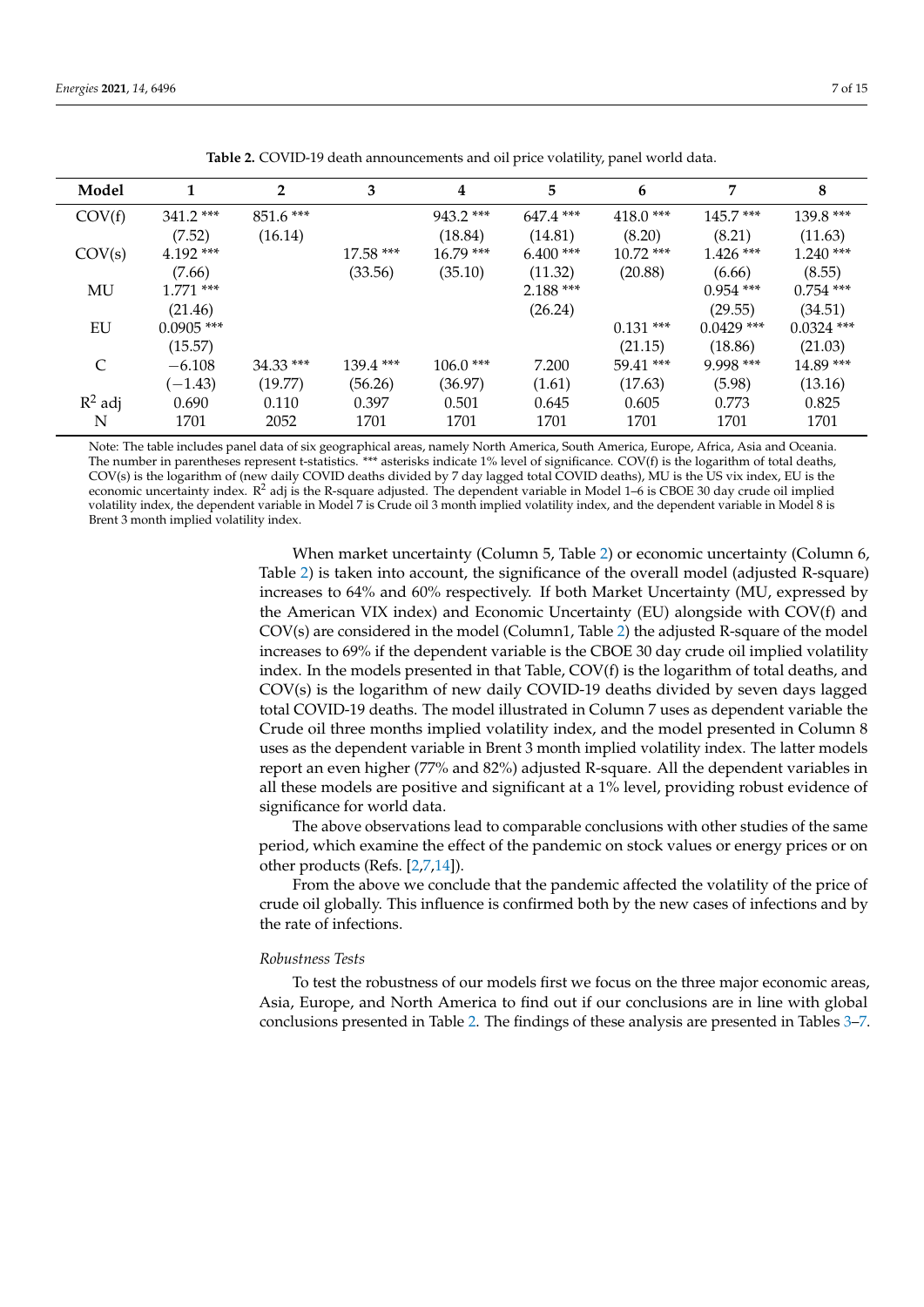<span id="page-6-0"></span>

| Model     |              | $\mathbf{2}$ | 3           | 4           | 5           | 6           | 7            | 8            |
|-----------|--------------|--------------|-------------|-------------|-------------|-------------|--------------|--------------|
| COV(f)    | $341.2$ ***  | $851.6***$   |             | $943.2$ *** | $647.4$ *** | $418.0***$  | $145.7***$   | $139.8***$   |
|           | (7.52)       | (16.14)      |             | (18.84)     | (14.81)     | (8.20)      | (8.21)       | (11.63)      |
| COV(s)    | $4.192$ ***  |              | $17.58***$  | $16.79***$  | $6.400$ *** | $10.72$ *** | $1.426$ ***  | $1.240$ ***  |
|           | (7.66)       |              | (33.56)     | (35.10)     | (11.32)     | (20.88)     | (6.66)       | (8.55)       |
| MU        | $1771$ ***   |              |             |             | $2.188***$  |             | $0.954$ ***  | $0.754$ ***  |
|           | (21.46)      |              |             |             | (26.24)     |             | (29.55)      | (34.51)      |
| EU        | $0.0905$ *** |              |             |             |             | $0.131$ *** | $0.0429$ *** | $0.0324$ *** |
|           | (15.57)      |              |             |             |             | (21.15)     | (18.86)      | (21.03)      |
| C         | $-6.108$     | $34.33$ ***  | $139.4$ *** | $106.0$ *** | 7.200       | $59.41$ *** | $9.998***$   | $14.89***$   |
|           | $(-1.43)$    | (19.77)      | (56.26)     | (36.97)     | (1.61)      | (17.63)     | (5.98)       | (13.16)      |
| $R^2$ adj | 0.690        | 0.110        | 0.397       | 0.501       | 0.645       | 0.605       | 0.773        | 0.825        |
| N         | 1701         | 2052         | 1701        | 1701        | 1701        | 1701        | 1701         | 1701         |

**Table 2.** COVID-19 death announcements and oil price volatility, panel world data.

Note: The table includes panel data of six geographical areas, namely North America, South America, Europe, Africa, Asia and Oceania. The number in parentheses represent t-statistics.<sup>\*\*\*</sup> asterisks indicate 1% level of significance. COV(f) is the logarithm of total deaths, COV(s) is the logarithm of (new daily COVID deaths divided by 7 day lagged total COVID deaths), MU is the US vix index, EU is the economic uncertainty index.  $R^2$  adj is the R-square adjusted. The dependent variable in Model 1–6 is CBOE 30 day crude oil implied volatility index, the dependent variable in Model 7 is Crude oil 3 month implied volatility index, and the dependent variable in Model 8 is Brent 3 month implied volatility index.

> When market uncertainty (Column 5, Table [2\)](#page-6-0) or economic uncertainty (Column 6, Table [2\)](#page-6-0) is taken into account, the significance of the overall model (adjusted R-square) increases to 64% and 60% respectively. If both Market Uncertainty (MU, expressed by the American VIX index) and Economic Uncertainty (EU) alongside with COV(f) and COV(s) are considered in the model (Column1, Table [2\)](#page-6-0) the adjusted R-square of the model increases to 69% if the dependent variable is the CBOE 30 day crude oil implied volatility index. In the models presented in that Table, COV(f) is the logarithm of total deaths, and COV(s) is the logarithm of new daily COVID-19 deaths divided by seven days lagged total COVID-19 deaths. The model illustrated in Column 7 uses as dependent variable the Crude oil three months implied volatility index, and the model presented in Column 8 uses as the dependent variable in Brent 3 month implied volatility index. The latter models report an even higher (77% and 82%) adjusted R-square. All the dependent variables in all these models are positive and significant at a 1% level, providing robust evidence of significance for world data.

> The above observations lead to comparable conclusions with other studies of the same period, which examine the effect of the pandemic on stock values or energy prices or on other products (Refs. [\[2,](#page-13-1)[7,](#page-14-0)[14\]](#page-14-7)).

> From the above we conclude that the pandemic affected the volatility of the price of crude oil globally. This influence is confirmed both by the new cases of infections and by the rate of infections.

#### *Robustness Tests*

To test the robustness of our models first we focus on the three major economic areas, Asia, Europe, and North America to find out if our conclusions are in line with global conclusions presented in Table [2.](#page-6-0) The findings of these analysis are presented in Tables [3–](#page-7-0)[7.](#page-9-0)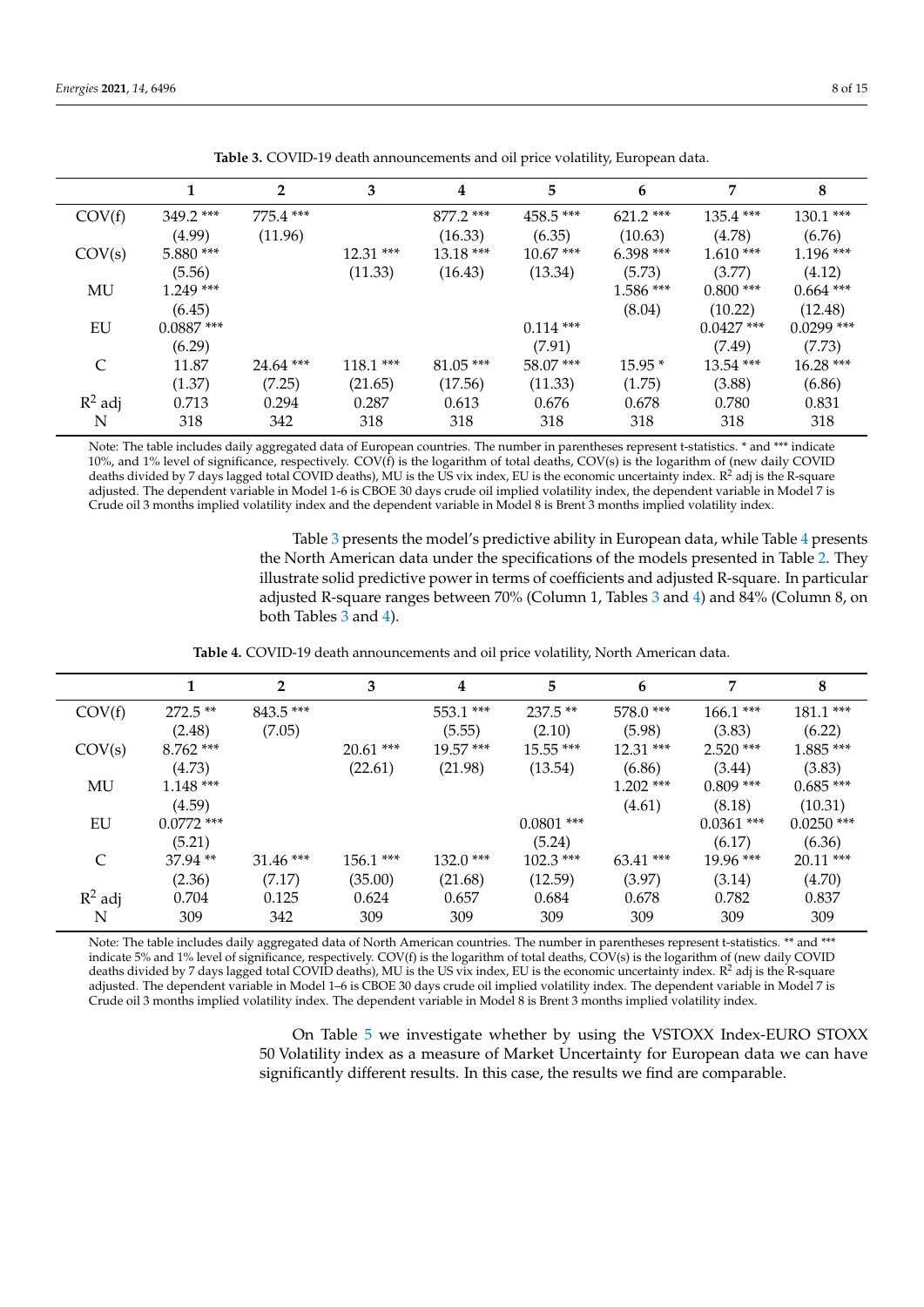<span id="page-7-0"></span>

|           |              | 2           | 3          | 4           | 5           | 6           | 7            | 8            |
|-----------|--------------|-------------|------------|-------------|-------------|-------------|--------------|--------------|
| COV(f)    | $349.2$ ***  | $775.4$ *** |            | $877.2$ *** | $458.5***$  | $621.2$ *** | $135.4$ ***  | $130.1***$   |
|           | (4.99)       | (11.96)     |            | (16.33)     | (6.35)      | (10.63)     | (4.78)       | (6.76)       |
| COV(s)    | $5.880$ ***  |             | $12.31***$ | $13.18***$  | $10.67***$  | $6.398***$  | $1.610***$   | $1.196$ ***  |
|           | (5.56)       |             | (11.33)    | (16.43)     | (13.34)     | (5.73)      | (3.77)       | (4.12)       |
| MU        | $1.249$ ***  |             |            |             |             | $1.586***$  | $0.800$ ***  | $0.664$ ***  |
|           | (6.45)       |             |            |             |             | (8.04)      | (10.22)      | (12.48)      |
| EU        | $0.0887$ *** |             |            |             | $0.114$ *** |             | $0.0427$ *** | $0.0299$ *** |
|           | (6.29)       |             |            |             | (7.91)      |             | (7.49)       | (7.73)       |
| C         | 11.87        | $24.64$ *** | $118.1***$ | $81.05$ *** | $58.07***$  | $15.95*$    | $13.54$ ***  | $16.28***$   |
|           | (1.37)       | (7.25)      | (21.65)    | (17.56)     | (11.33)     | (1.75)      | (3.88)       | (6.86)       |
| $R^2$ adj | 0.713        | 0.294       | 0.287      | 0.613       | 0.676       | 0.678       | 0.780        | 0.831        |
| N         | 318          | 342         | 318        | 318         | 318         | 318         | 318          | 318          |

**Table 3.** COVID-19 death announcements and oil price volatility, European data.

Note: The table includes daily aggregated data of European countries. The number in parentheses represent t-statistics. \* and \*\*\* indicate 10%, and 1% level of significance, respectively. COV(f) is the logarithm of total deaths, COV(s) is the logarithm of (new daily COVID deaths divided by 7 days lagged total COVID deaths), MU is the US vix index, EU is the economic uncertainty index. R<sup>2</sup> adj is the R-square adjusted. The dependent variable in Model 1-6 is CBOE 30 days crude oil implied volatility index, the dependent variable in Model 7 is Crude oil 3 months implied volatility index and the dependent variable in Model 8 is Brent 3 months implied volatility index.

> Table [3](#page-7-0) presents the model's predictive ability in European data, while Table [4](#page-7-1) presents the North American data under the specifications of the models presented in Table [2.](#page-6-0) They illustrate solid predictive power in terms of coefficients and adjusted R-square. In particular adjusted R-square ranges between 70% (Column 1, Tables [3](#page-7-0) and [4\)](#page-7-1) and 84% (Column 8, on both Tables [3](#page-7-0) and [4\)](#page-7-1).

**Table 4.** COVID-19 death announcements and oil price volatility, North American data.

<span id="page-7-1"></span>

|           |              | $\overline{2}$ | 3           | 4          | 5            | 6           | 7            | 8            |
|-----------|--------------|----------------|-------------|------------|--------------|-------------|--------------|--------------|
| COV(f)    | $272.5**$    | $843.5***$     |             | $553.1***$ | $237.5**$    | 578.0 ***   | $166.1***$   | $181.1***$   |
|           | (2.48)       | (7.05)         |             | (5.55)     | (2.10)       | (5.98)      | (3.83)       | (6.22)       |
| COV(s)    | $8.762$ ***  |                | $20.61$ *** | $19.57***$ | $15.55***$   | $12.31***$  | $2.520$ ***  | $1.885***$   |
|           | (4.73)       |                | (22.61)     | (21.98)    | (13.54)      | (6.86)      | (3.44)       | (3.83)       |
| MU        | $1.148***$   |                |             |            |              | $1.202$ *** | $0.809$ ***  | $0.685***$   |
|           | (4.59)       |                |             |            |              | (4.61)      | (8.18)       | (10.31)      |
| EU        | $0.0772$ *** |                |             |            | $0.0801$ *** |             | $0.0361$ *** | $0.0250$ *** |
|           | (5.21)       |                |             |            | (5.24)       |             | (6.17)       | (6.36)       |
| C         | $37.94**$    | $31.46$ ***    | $156.1***$  | $132.0***$ | $102.3$ ***  | $63.41$ *** | $19.96$ ***  | $20.11$ ***  |
|           | (2.36)       | (7.17)         | (35.00)     | (21.68)    | (12.59)      | (3.97)      | (3.14)       | (4.70)       |
| $R^2$ adj | 0.704        | 0.125          | 0.624       | 0.657      | 0.684        | 0.678       | 0.782        | 0.837        |
| N         | 309          | 342            | 309         | 309        | 309          | 309         | 309          | 309          |

Note: The table includes daily aggregated data of North American countries. The number in parentheses represent t-statistics. \*\* and \*\*\* indicate 5% and 1% level of significance, respectively. COV(f) is the logarithm of total deaths, COV(s) is the logarithm of (new daily COVID deaths divided by 7 days lagged total COVID deaths), MU is the US vix index, EU is the economic uncertainty index. R<sup>2</sup> adj is the R-square adjusted. The dependent variable in Model 1–6 is CBOE 30 days crude oil implied volatility index. The dependent variable in Model 7 is Crude oil 3 months implied volatility index. The dependent variable in Model 8 is Brent 3 months implied volatility index.

> On Table [5](#page-8-0) we investigate whether by using the VSTOXX Index-EURO STOXX 50 Volatility index as a measure of Market Uncertainty for European data we can have significantly different results. In this case, the results we find are comparable.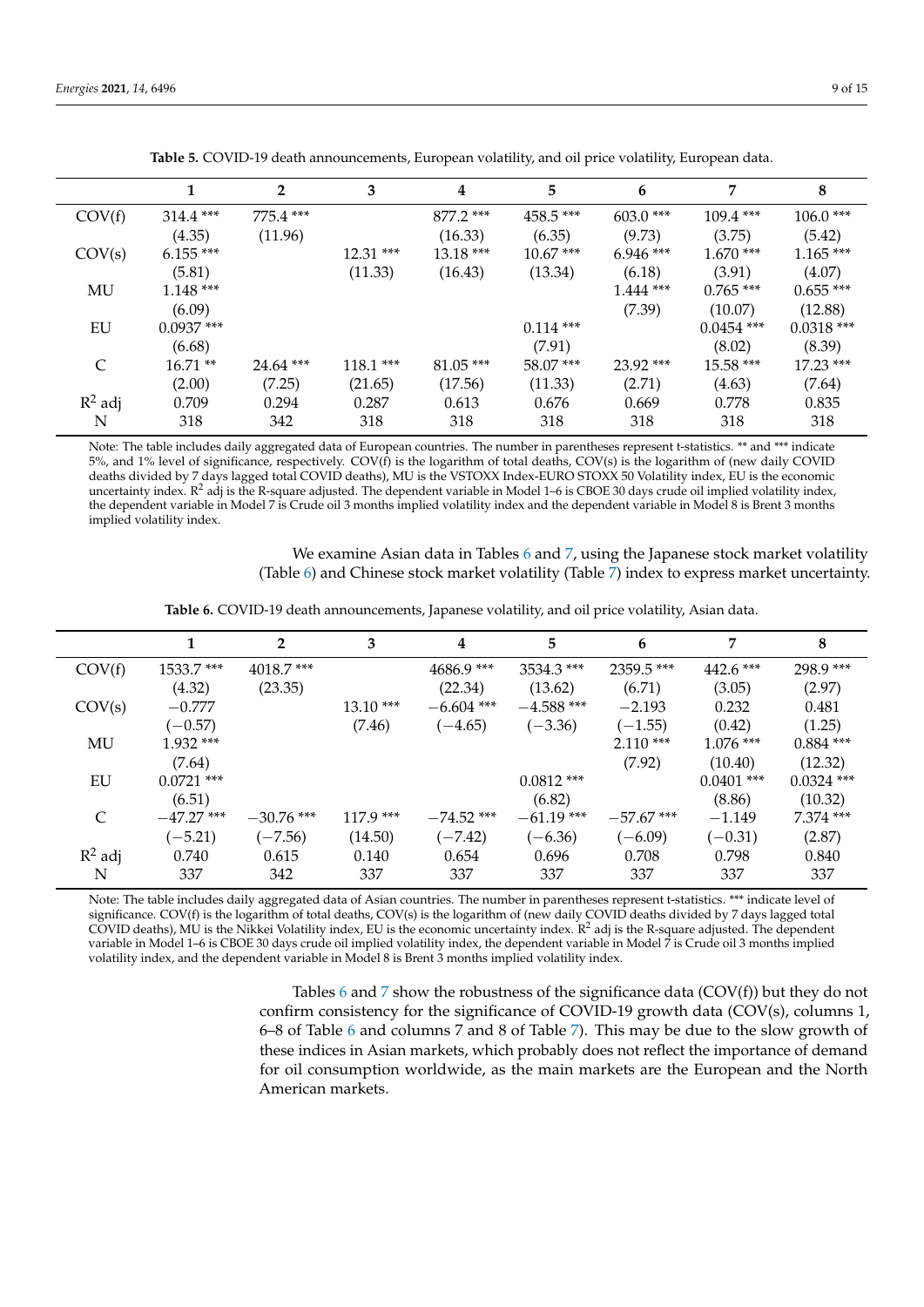<span id="page-8-0"></span>

|           | 1            | $\overline{2}$ | 3          | 4           | 5           | 6           | 7            | 8            |
|-----------|--------------|----------------|------------|-------------|-------------|-------------|--------------|--------------|
| COV(f)    | $314.4$ ***  | $775.4$ ***    |            | $877.2$ *** | $458.5***$  | $603.0$ *** | $109.4$ ***  | $106.0$ ***  |
|           | (4.35)       | (11.96)        |            | (16.33)     | (6.35)      | (9.73)      | (3.75)       | (5.42)       |
| COV(s)    | $6.155***$   |                | $12.31***$ | $13.18***$  | $10.67***$  | $6.946***$  | $1.670$ ***  | $1.165***$   |
|           | (5.81)       |                | (11.33)    | (16.43)     | (13.34)     | (6.18)      | (3.91)       | (4.07)       |
| MU        | $1.148***$   |                |            |             |             | $1.444$ *** | $0.765$ ***  | $0.655$ ***  |
|           | (6.09)       |                |            |             |             | (7.39)      | (10.07)      | (12.88)      |
| EU        | $0.0937$ *** |                |            |             | $0.114$ *** |             | $0.0454$ *** | $0.0318$ *** |
|           | (6.68)       |                |            |             | (7.91)      |             | (8.02)       | (8.39)       |
| C         | $16.71**$    | $24.64$ ***    | $118.1***$ | $81.05***$  | $58.07$ *** | $23.92$ *** | $15.58***$   | $17.23$ ***  |
|           | (2.00)       | (7.25)         | (21.65)    | (17.56)     | (11.33)     | (2.71)      | (4.63)       | (7.64)       |
| $R^2$ adj | 0.709        | 0.294          | 0.287      | 0.613       | 0.676       | 0.669       | 0.778        | 0.835        |
| N         | 318          | 342            | 318        | 318         | 318         | 318         | 318          | 318          |

**Table 5.** COVID-19 death announcements, European volatility, and oil price volatility, European data.

Note: The table includes daily aggregated data of European countries. The number in parentheses represent t-statistics. \*\* and \*\*\* indicate 5%, and 1% level of significance, respectively. COV(f) is the logarithm of total deaths, COV(s) is the logarithm of (new daily COVID deaths divided by 7 days lagged total COVID deaths), MU is the VSTOXX Index-EURO STOXX 50 Volatility index, EU is the economic uncertainty index. R<sup>2</sup> adj is the R-square adjusted. The dependent variable in Model 1-6 is CBOE 30 days crude oil implied volatility index, the dependent variable in Model 7 is Crude oil 3 months implied volatility index and the dependent variable in Model 8 is Brent 3 months implied volatility index.

> We examine Asian data in Tables [6](#page-8-1) and [7,](#page-9-0) using the Japanese stock market volatility (Table [6\)](#page-8-1) and Chinese stock market volatility (Table [7\)](#page-9-0) index to express market uncertainty.

Table 6. COVID-19 death announcements, Japanese volatility, and oil price volatility, Asian data.

<span id="page-8-1"></span>

|                             |              | $\overline{2}$ | 3          | 4            | 5            | 6            | 7            | 8            |
|-----------------------------|--------------|----------------|------------|--------------|--------------|--------------|--------------|--------------|
| COV(f)                      | $1533.7$ *** | $4018.7$ ***   |            | $4686.9***$  | $3534.3$ *** | $2359.5$ *** | $442.6$ ***  | $298.9***$   |
|                             | (4.32)       | (23.35)        |            | (22.34)      | (13.62)      | (6.71)       | (3.05)       | (2.97)       |
| COV(s)                      | $-0.777$     |                | $13.10***$ | $-6.604$ *** | $-4.588$ *** | $-2.193$     | 0.232        | 0.481        |
|                             | $(-0.57)$    |                | (7.46)     | $(-4.65)$    | $(-3.36)$    | $(-1.55)$    | (0.42)       | (1.25)       |
| MU                          | $1.932$ ***  |                |            |              |              | $2.110***$   | $1.076$ ***  | $0.884$ ***  |
|                             | (7.64)       |                |            |              |              | (7.92)       | (10.40)      | (12.32)      |
| EU                          | $0.0721$ *** |                |            |              | $0.0812$ *** |              | $0.0401$ *** | $0.0324$ *** |
|                             | (6.51)       |                |            |              | (6.82)       |              | (8.86)       | (10.32)      |
| $\mathcal{C}_{\mathcal{C}}$ | $-47.27$ *** | $-30.76$ ***   | $1179$ *** | $-74.52$ *** | $-61.19$ *** | $-57.67$ *** | $-1.149$     | $7.374$ ***  |
|                             | $(-5.21)$    | $(-7.56)$      | (14.50)    | $(-7.42)$    | $(-6.36)$    | $(-6.09)$    | $(-0.31)$    | (2.87)       |
| $R^2$ adj                   | 0.740        | 0.615          | 0.140      | 0.654        | 0.696        | 0.708        | 0.798        | 0.840        |
| N                           | 337          | 342            | 337        | 337          | 337          | 337          | 337          | 337          |

Note: The table includes daily aggregated data of Asian countries. The number in parentheses represent t-statistics. \*\*\* indicate level of significance. COV(f) is the logarithm of total deaths, COV(s) is the logarithm of (new daily COVID deaths divided by 7 days lagged total COVID deaths), MU is the Nikkei Volatility index, EU is the economic uncertainty index. R<sup>2</sup> adj is the R-square adjusted. The dependent variable in Model 1–6 is CBOE 30 days crude oil implied volatility index, the dependent variable in Model 7 is Crude oil 3 months implied volatility index, and the dependent variable in Model 8 is Brent 3 months implied volatility index.

> Tables  $6$  and  $7$  show the robustness of the significance data (COV(f)) but they do not confirm consistency for the significance of COVID-19 growth data (COV(s), columns 1, 6–8 of Table [6](#page-8-1) and columns 7 and 8 of Table [7\)](#page-9-0). This may be due to the slow growth of these indices in Asian markets, which probably does not reflect the importance of demand for oil consumption worldwide, as the main markets are the European and the North American markets.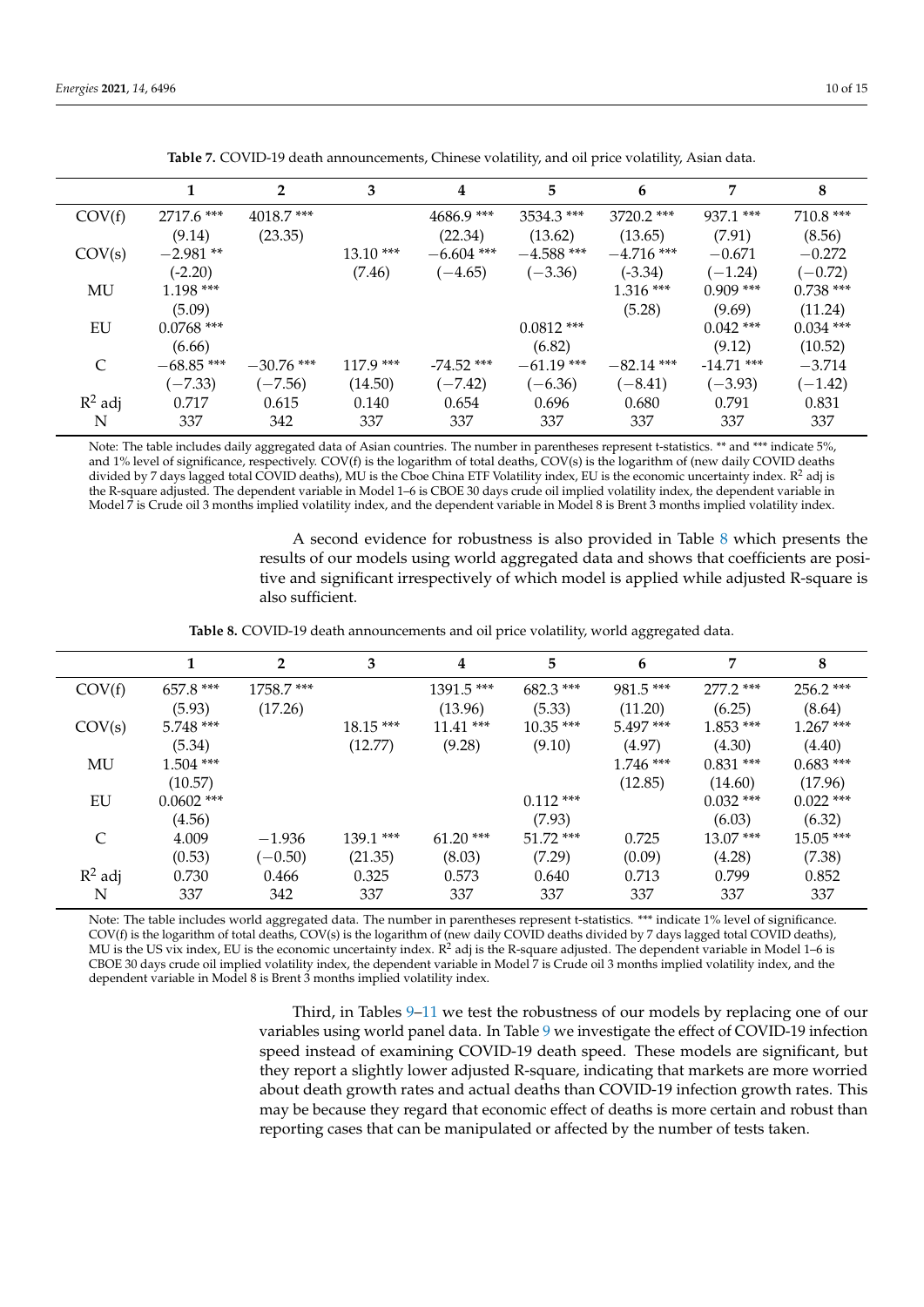<span id="page-9-0"></span>

|           |              | $\mathbf{2}$ | 3          | 4            | 5            | 6            | 7            | 8           |
|-----------|--------------|--------------|------------|--------------|--------------|--------------|--------------|-------------|
| COV(f)    | 2717.6 ***   | $4018.7$ *** |            | $4686.9***$  | $3534.3$ *** | $3720.2$ *** | $937.1$ ***  | $710.8$ *** |
|           | (9.14)       | (23.35)      |            | (22.34)      | (13.62)      | (13.65)      | (7.91)       | (8.56)      |
| COV(s)    | $-2.981**$   |              | $13.10***$ | $-6.604$ *** | $-4.588$ *** | $-4.716$ *** | $-0.671$     | $-0.272$    |
|           | $(-2.20)$    |              | (7.46)     | $(-4.65)$    | $(-3.36)$    | $(-3.34)$    | $(-1.24)$    | $(-0.72)$   |
| MU        | $1.198***$   |              |            |              |              | $1.316***$   | $0.909$ ***  | $0.738$ *** |
|           | (5.09)       |              |            |              |              | (5.28)       | (9.69)       | (11.24)     |
| EU        | $0.0768$ *** |              |            |              | $0.0812$ *** |              | $0.042$ ***  | $0.034$ *** |
|           | (6.66)       |              |            |              | (6.82)       |              | (9.12)       | (10.52)     |
| C         | $-68.85$ *** | $-30.76$ *** | $117.9***$ | $-74.52$ *** | $-61.19$ *** | $-82.14$ *** | $-14.71$ *** | $-3.714$    |
|           | $(-7.33)$    | $(-7.56)$    | (14.50)    | $(-7.42)$    | $(-6.36)$    | $(-8.41)$    | $(-3.93)$    | $(-1.42)$   |
| $R^2$ adj | 0.717        | 0.615        | 0.140      | 0.654        | 0.696        | 0.680        | 0.791        | 0.831       |
| N         | 337          | 342          | 337        | 337          | 337          | 337          | 337          | 337         |

**Table 7.** COVID-19 death announcements, Chinese volatility, and oil price volatility, Asian data.

Note: The table includes daily aggregated data of Asian countries. The number in parentheses represent t-statistics. \*\* and \*\*\* indicate 5%, and 1% level of significance, respectively. COV(f) is the logarithm of total deaths, COV(s) is the logarithm of (new daily COVID deaths divided by 7 days lagged total COVID deaths), MU is the Cboe China ETF Volatility index, EU is the economic uncertainty index. R<sup>2</sup> adj is the R-square adjusted. The dependent variable in Model 1–6 is CBOE 30 days crude oil implied volatility index, the dependent variable in Model 7 is Crude oil 3 months implied volatility index, and the dependent variable in Model 8 is Brent 3 months implied volatility index.

> A second evidence for robustness is also provided in Table [8](#page-9-1) which presents the results of our models using world aggregated data and shows that coefficients are positive and significant irrespectively of which model is applied while adjusted R-square is also sufficient.

**Table 8.** COVID-19 death announcements and oil price volatility, world aggregated data.

<span id="page-9-1"></span>

|                             |              | $\overline{2}$ | 3          | 4            | 5           | 6           | 7           | 8           |
|-----------------------------|--------------|----------------|------------|--------------|-------------|-------------|-------------|-------------|
| COV(f)                      | 657.8 ***    | 1758.7 ***     |            | $1391.5$ *** | $682.3***$  | $981.5***$  | $277.2$ *** | $256.2$ *** |
|                             | (5.93)       | (17.26)        |            | (13.96)      | (5.33)      | (11.20)     | (6.25)      | (8.64)      |
| COV(s)                      | $5.748$ ***  |                | $18.15***$ | $11.41$ ***  | $10.35***$  | $5.497***$  | $1.853***$  | $1.267***$  |
|                             | (5.34)       |                | (12.77)    | (9.28)       | (9.10)      | (4.97)      | (4.30)      | (4.40)      |
| MU                          | $1.504$ ***  |                |            |              |             | $1.746$ *** | $0.831$ *** | $0.683$ *** |
|                             | (10.57)      |                |            |              |             | (12.85)     | (14.60)     | (17.96)     |
| EU                          | $0.0602$ *** |                |            |              | $0.112$ *** |             | $0.032$ *** | $0.022$ *** |
|                             | (4.56)       |                |            |              | (7.93)      |             | (6.03)      | (6.32)      |
| $\mathcal{C}_{\mathcal{C}}$ | 4.009        | $-1.936$       | $139.1***$ | $61.20$ ***  | $51.72$ *** | 0.725       | $13.07***$  | $15.05***$  |
|                             | (0.53)       | $(-0.50)$      | (21.35)    | (8.03)       | (7.29)      | (0.09)      | (4.28)      | (7.38)      |
| $R^2$ adj                   | 0.730        | 0.466          | 0.325      | 0.573        | 0.640       | 0.713       | 0.799       | 0.852       |
| N                           | 337          | 342            | 337        | 337          | 337         | 337         | 337         | 337         |

Note: The table includes world aggregated data. The number in parentheses represent t-statistics. \*\*\* indicate 1% level of significance. COV(f) is the logarithm of total deaths, COV(s) is the logarithm of (new daily COVID deaths divided by 7 days lagged total COVID deaths), MU is the US vix index, EU is the economic uncertainty index.  $R^2$  adj is the R-square adjusted. The dependent variable in Model 1–6 is CBOE 30 days crude oil implied volatility index, the dependent variable in Model 7 is Crude oil 3 months implied volatility index, and the dependent variable in Model 8 is Brent 3 months implied volatility index.

> Third, in Tables [9](#page-10-0)[–11](#page-11-0) we test the robustness of our models by replacing one of our variables using world panel data. In Table [9](#page-10-0) we investigate the effect of COVID-19 infection speed instead of examining COVID-19 death speed. These models are significant, but they report a slightly lower adjusted R-square, indicating that markets are more worried about death growth rates and actual deaths than COVID-19 infection growth rates. This may be because they regard that economic effect of deaths is more certain and robust than reporting cases that can be manipulated or affected by the number of tests taken.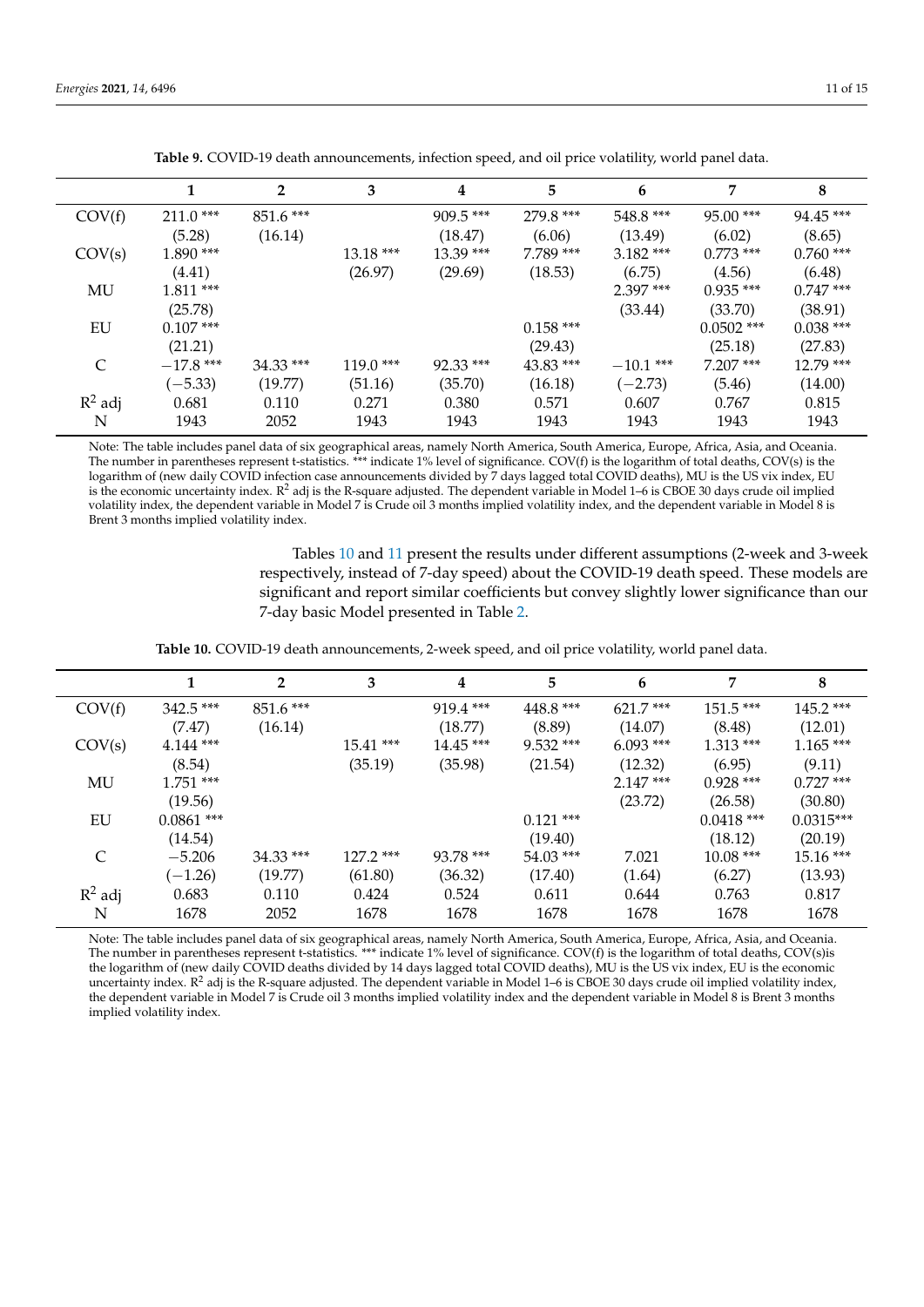<span id="page-10-0"></span>

|           |             | $\mathbf{2}$ | 3          | 4           | 5           | 6           | 7            | 8           |
|-----------|-------------|--------------|------------|-------------|-------------|-------------|--------------|-------------|
| COV(f)    | $211.0$ *** | $851.6***$   |            | $909.5***$  | 279.8 ***   | $548.8***$  | $95.00$ ***  | $94.45***$  |
|           | (5.28)      | (16.14)      |            | (18.47)     | (6.06)      | (13.49)     | (6.02)       | (8.65)      |
| COV(s)    | $1.890***$  |              | $13.18***$ | $13.39***$  | 7.789 ***   | $3.182$ *** | $0.773$ ***  | $0.760$ *** |
|           | (4.41)      |              | (26.97)    | (29.69)     | (18.53)     | (6.75)      | (4.56)       | (6.48)      |
| MU        | $1.811***$  |              |            |             |             | $2.397$ *** | $0.935$ ***  | $0.747$ *** |
|           | (25.78)     |              |            |             |             | (33.44)     | (33.70)      | (38.91)     |
| EU        | $0.107$ *** |              |            |             | $0.158$ *** |             | $0.0502$ *** | $0.038$ *** |
|           | (21.21)     |              |            |             | (29.43)     |             | (25.18)      | (27.83)     |
| C         | $-17.8$ *** | $34.33$ ***  | $119.0***$ | $92.33$ *** | $43.83$ *** | $-10.1$ *** | $7.207$ ***  | $12.79$ *** |
|           | $(-5.33)$   | (19.77)      | (51.16)    | (35.70)     | (16.18)     | $(-2.73)$   | (5.46)       | (14.00)     |
| $R^2$ adj | 0.681       | 0.110        | 0.271      | 0.380       | 0.571       | 0.607       | 0.767        | 0.815       |
| N         | 1943        | 2052         | 1943       | 1943        | 1943        | 1943        | 1943         | 1943        |

**Table 9.** COVID-19 death announcements, infection speed, and oil price volatility, world panel data.

Note: The table includes panel data of six geographical areas, namely North America, South America, Europe, Africa, Asia, and Oceania. The number in parentheses represent t-statistics. \*\*\* indicate 1% level of significance. COV(f) is the logarithm of total deaths, COV(s) is the logarithm of (new daily COVID infection case announcements divided by 7 days lagged total COVID deaths), MU is the US vix index, EU is the economic uncertainty index.  $R^2$  adj is the R-square adjusted. The dependent variable in Model 1–6 is CBOE 30 days crude oil implied volatility index, the dependent variable in Model 7 is Crude oil 3 months implied volatility index, and the dependent variable in Model 8 is Brent 3 months implied volatility index.

> Tables [10](#page-10-1) and [11](#page-11-0) present the results under different assumptions (2-week and 3-week respectively, instead of 7-day speed) about the COVID-19 death speed. These models are significant and report similar coefficients but convey slightly lower significance than our 7-day basic Model presented in Table [2.](#page-6-0)

**Table 10.** COVID-19 death announcements, 2-week speed, and oil price volatility, world panel data.

<span id="page-10-1"></span>

|               |              | $\overline{2}$ | 3           | 4           | 5           | 6           | 7            | 8           |
|---------------|--------------|----------------|-------------|-------------|-------------|-------------|--------------|-------------|
| COV(f)        | $342.5***$   | $851.6***$     |             | $919.4$ *** | 448.8 ***   | $621.7***$  | $151.5***$   | $145.2$ *** |
|               | (7.47)       | (16.14)        |             | (18.77)     | (8.89)      | (14.07)     | (8.48)       | (12.01)     |
| COV(s)        | $4.144$ ***  |                | $15.41***$  | $14.45***$  | $9.532$ *** | $6.093$ *** | $1.313***$   | $1.165***$  |
|               | (8.54)       |                | (35.19)     | (35.98)     | (21.54)     | (12.32)     | (6.95)       | (9.11)      |
| MU            | $1.751$ ***  |                |             |             |             | $2.147***$  | $0.928$ ***  | $0.727$ *** |
|               | (19.56)      |                |             |             |             | (23.72)     | (26.58)      | (30.80)     |
| EU            | $0.0861$ *** |                |             |             | $0.121$ *** |             | $0.0418$ *** | $0.0315***$ |
|               | (14.54)      |                |             |             | (19.40)     |             | (18.12)      | (20.19)     |
| $\mathcal{C}$ | $-5.206$     | $34.33$ ***    | $127.2$ *** | 93.78 ***   | $54.03$ *** | 7.021       | $10.08***$   | $15.16***$  |
|               | $(-1.26)$    | (19.77)        | (61.80)     | (36.32)     | (17.40)     | (1.64)      | (6.27)       | (13.93)     |
| $R^2$ adj     | 0.683        | 0.110          | 0.424       | 0.524       | 0.611       | 0.644       | 0.763        | 0.817       |
| N             | 1678         | 2052           | 1678        | 1678        | 1678        | 1678        | 1678         | 1678        |

Note: The table includes panel data of six geographical areas, namely North America, South America, Europe, Africa, Asia, and Oceania. The number in parentheses represent t-statistics. \*\*\* indicate 1% level of significance. COV(f) is the logarithm of total deaths, COV(s)is the logarithm of (new daily COVID deaths divided by 14 days lagged total COVID deaths), MU is the US vix index, EU is the economic uncertainty index.  $R^2$  adj is the R-square adjusted. The dependent variable in Model 1–6 is CBOE 30 days crude oil implied volatility index, the dependent variable in Model 7 is Crude oil 3 months implied volatility index and the dependent variable in Model 8 is Brent 3 months implied volatility index.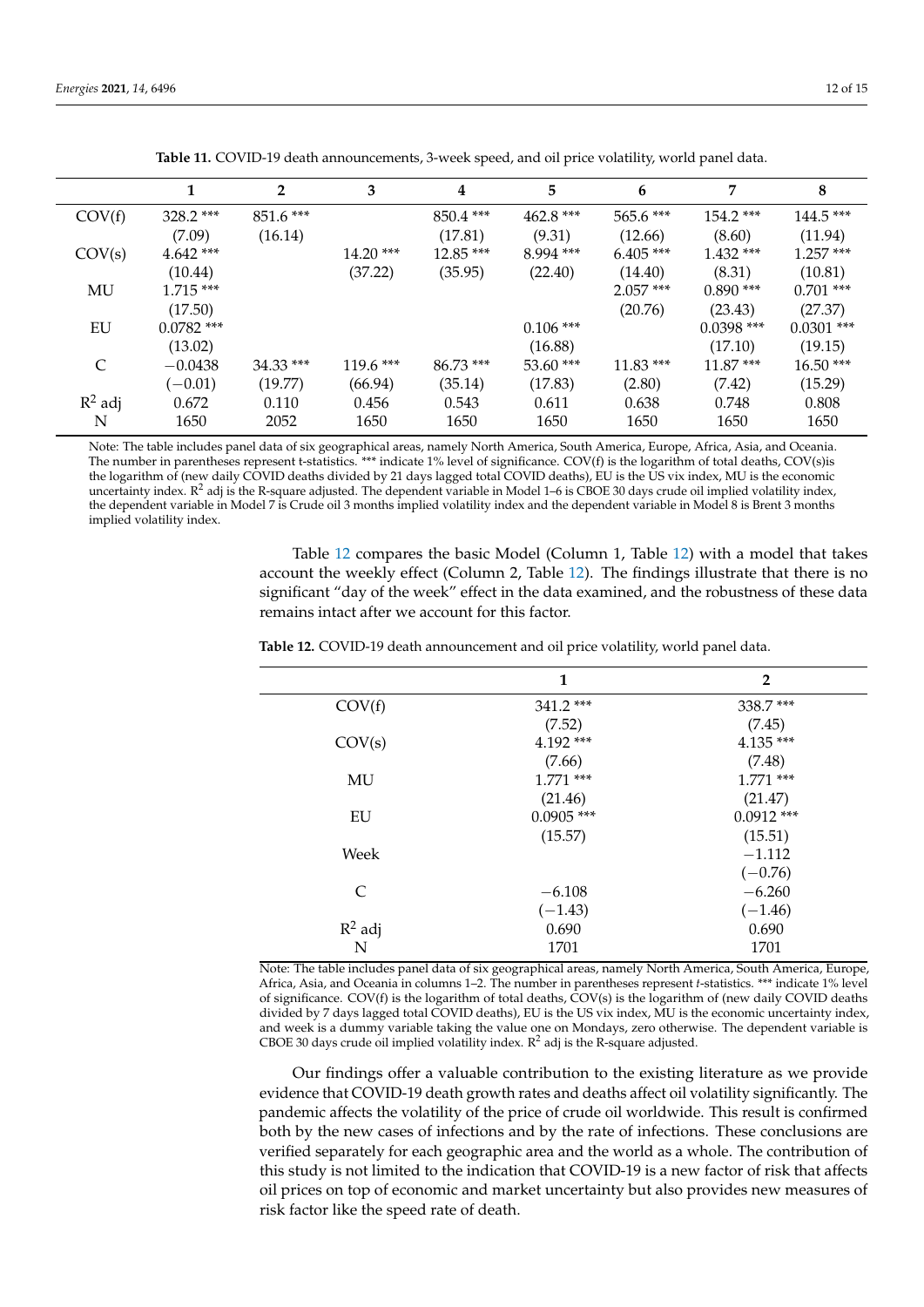<span id="page-11-0"></span>

|           |              | $\overline{2}$ | 3          | 4           | 5           | 6           | 7            | 8            |
|-----------|--------------|----------------|------------|-------------|-------------|-------------|--------------|--------------|
| COV(f)    | $328.2$ ***  | $851.6***$     |            | $850.4$ *** | $462.8***$  | $565.6***$  | $154.2$ ***  | $144.5***$   |
|           | (7.09)       | (16.14)        |            | (17.81)     | (9.31)      | (12.66)     | (8.60)       | (11.94)      |
| COV(s)    | $4.642$ ***  |                | $14.20***$ | $12.85***$  | $8.994$ *** | $6.405$ *** | $1.432$ ***  | $1.257***$   |
|           | (10.44)      |                | (37.22)    | (35.95)     | (22.40)     | (14.40)     | (8.31)       | (10.81)      |
| MU        | $1.715***$   |                |            |             |             | $2.057$ *** | $0.890$ ***  | $0.701$ ***  |
|           | (17.50)      |                |            |             |             | (20.76)     | (23.43)      | (27.37)      |
| EU        | $0.0782$ *** |                |            |             | $0.106$ *** |             | $0.0398$ *** | $0.0301$ *** |
|           | (13.02)      |                |            |             | (16.88)     |             | (17.10)      | (19.15)      |
| C         | $-0.0438$    | $34.33$ ***    | $119.6***$ | $86.73***$  | $53.60$ *** | $11.83***$  | $11.87***$   | $16.50***$   |
|           | $(-0.01)$    | (19.77)        | (66.94)    | (35.14)     | (17.83)     | (2.80)      | (7.42)       | (15.29)      |
| $R^2$ adj | 0.672        | 0.110          | 0.456      | 0.543       | 0.611       | 0.638       | 0.748        | 0.808        |
| N         | 1650         | 2052           | 1650       | 1650        | 1650        | 1650        | 1650         | 1650         |

**Table 11.** COVID-19 death announcements, 3-week speed, and oil price volatility, world panel data.

Note: The table includes panel data of six geographical areas, namely North America, South America, Europe, Africa, Asia, and Oceania. The number in parentheses represent t-statistics. \*\*\* indicate 1% level of significance. COV(f) is the logarithm of total deaths, COV(s)is the logarithm of (new daily COVID deaths divided by 21 days lagged total COVID deaths), EU is the US vix index, MU is the economic uncertainty index.  $R^2$  adj is the R-square adjusted. The dependent variable in Model 1–6 is CBOE 30 days crude oil implied volatility index, the dependent variable in Model 7 is Crude oil 3 months implied volatility index and the dependent variable in Model 8 is Brent 3 months implied volatility index.

> Table [12](#page-11-1) compares the basic Model (Column 1, Table [12\)](#page-11-1) with a model that takes account the weekly effect (Column 2, Table [12\)](#page-11-1). The findings illustrate that there is no significant "day of the week" effect in the data examined, and the robustness of these data remains intact after we account for this factor.

|           | 1            | $\overline{2}$ |
|-----------|--------------|----------------|
| COV(f)    | $341.2$ ***  | 338.7***       |
|           | (7.52)       | (7.45)         |
| COV(s)    | $4.192***$   | $4.135***$     |
|           | (7.66)       | (7.48)         |
| MU        | $1.771$ ***  | $1.771$ ***    |
|           | (21.46)      | (21.47)        |
| EU        | $0.0905$ *** | $0.0912$ ***   |
|           | (15.57)      | (15.51)        |
| Week      |              | $-1.112$       |
|           |              | $(-0.76)$      |
| C         | $-6.108$     | $-6.260$       |
|           | $(-1.43)$    | $(-1.46)$      |
| $R^2$ adj | 0.690        | 0.690          |
| N         | 1701         | 1701           |

<span id="page-11-1"></span>**Table 12.** COVID-19 death announcement and oil price volatility, world panel data.

Note: The table includes panel data of six geographical areas, namely North America, South America, Europe, Africa, Asia, and Oceania in columns 1–2. The number in parentheses represent *t*-statistics. \*\*\* indicate 1% level of significance. COV(f) is the logarithm of total deaths, COV(s) is the logarithm of (new daily COVID deaths divided by 7 days lagged total COVID deaths), EU is the US vix index, MU is the economic uncertainty index, and week is a dummy variable taking the value one on Mondays, zero otherwise. The dependent variable is CBOE 30 days crude oil implied volatility index.  $R^2$  adj is the R-square adjusted.

Our findings offer a valuable contribution to the existing literature as we provide evidence that COVID-19 death growth rates and deaths affect oil volatility significantly. The pandemic affects the volatility of the price of crude oil worldwide. This result is confirmed both by the new cases of infections and by the rate of infections. These conclusions are verified separately for each geographic area and the world as a whole. The contribution of this study is not limited to the indication that COVID-19 is a new factor of risk that affects oil prices on top of economic and market uncertainty but also provides new measures of risk factor like the speed rate of death.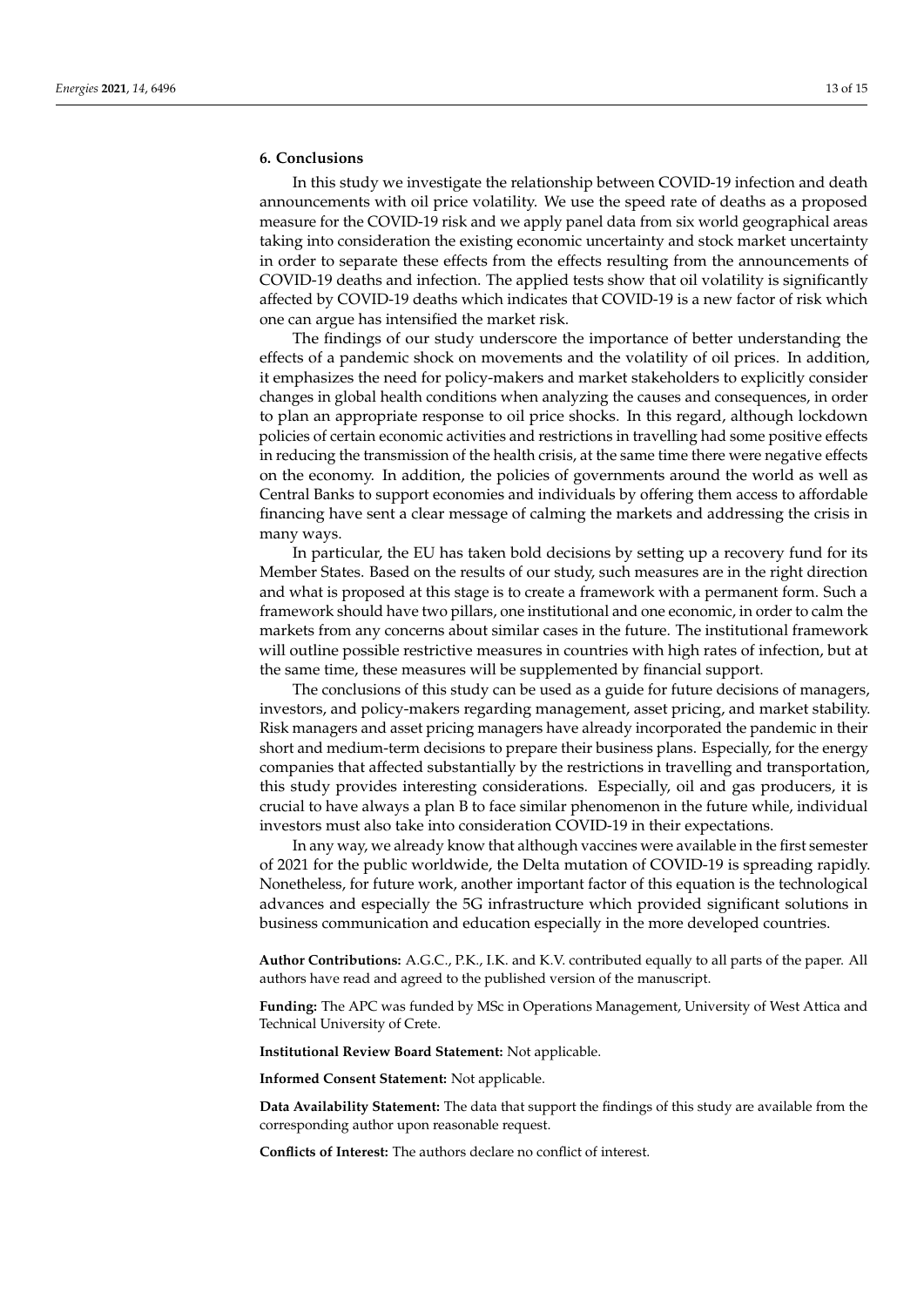#### <span id="page-12-0"></span>**6. Conclusions**

In this study we investigate the relationship between COVID-19 infection and death announcements with oil price volatility. We use the speed rate of deaths as a proposed measure for the COVID-19 risk and we apply panel data from six world geographical areas taking into consideration the existing economic uncertainty and stock market uncertainty in order to separate these effects from the effects resulting from the announcements of COVID-19 deaths and infection. The applied tests show that oil volatility is significantly affected by COVID-19 deaths which indicates that COVID-19 is a new factor of risk which one can argue has intensified the market risk.

The findings of our study underscore the importance of better understanding the effects of a pandemic shock on movements and the volatility of oil prices. In addition, it emphasizes the need for policy-makers and market stakeholders to explicitly consider changes in global health conditions when analyzing the causes and consequences, in order to plan an appropriate response to oil price shocks. In this regard, although lockdown policies of certain economic activities and restrictions in travelling had some positive effects in reducing the transmission of the health crisis, at the same time there were negative effects on the economy. In addition, the policies of governments around the world as well as Central Banks to support economies and individuals by offering them access to affordable financing have sent a clear message of calming the markets and addressing the crisis in many ways.

In particular, the EU has taken bold decisions by setting up a recovery fund for its Member States. Based on the results of our study, such measures are in the right direction and what is proposed at this stage is to create a framework with a permanent form. Such a framework should have two pillars, one institutional and one economic, in order to calm the markets from any concerns about similar cases in the future. The institutional framework will outline possible restrictive measures in countries with high rates of infection, but at the same time, these measures will be supplemented by financial support.

The conclusions of this study can be used as a guide for future decisions of managers, investors, and policy-makers regarding management, asset pricing, and market stability. Risk managers and asset pricing managers have already incorporated the pandemic in their short and medium-term decisions to prepare their business plans. Especially, for the energy companies that affected substantially by the restrictions in travelling and transportation, this study provides interesting considerations. Especially, oil and gas producers, it is crucial to have always a plan B to face similar phenomenon in the future while, individual investors must also take into consideration COVID-19 in their expectations.

In any way, we already know that although vaccines were available in the first semester of 2021 for the public worldwide, the Delta mutation of COVID-19 is spreading rapidly. Nonetheless, for future work, another important factor of this equation is the technological advances and especially the 5G infrastructure which provided significant solutions in business communication and education especially in the more developed countries.

**Author Contributions:** A.G.C., P.K., I.K. and K.V. contributed equally to all parts of the paper. All authors have read and agreed to the published version of the manuscript.

**Funding:** The APC was funded by MSc in Operations Management, University of West Attica and Technical University of Crete.

**Institutional Review Board Statement:** Not applicable.

**Informed Consent Statement:** Not applicable.

**Data Availability Statement:** The data that support the findings of this study are available from the corresponding author upon reasonable request.

**Conflicts of Interest:** The authors declare no conflict of interest.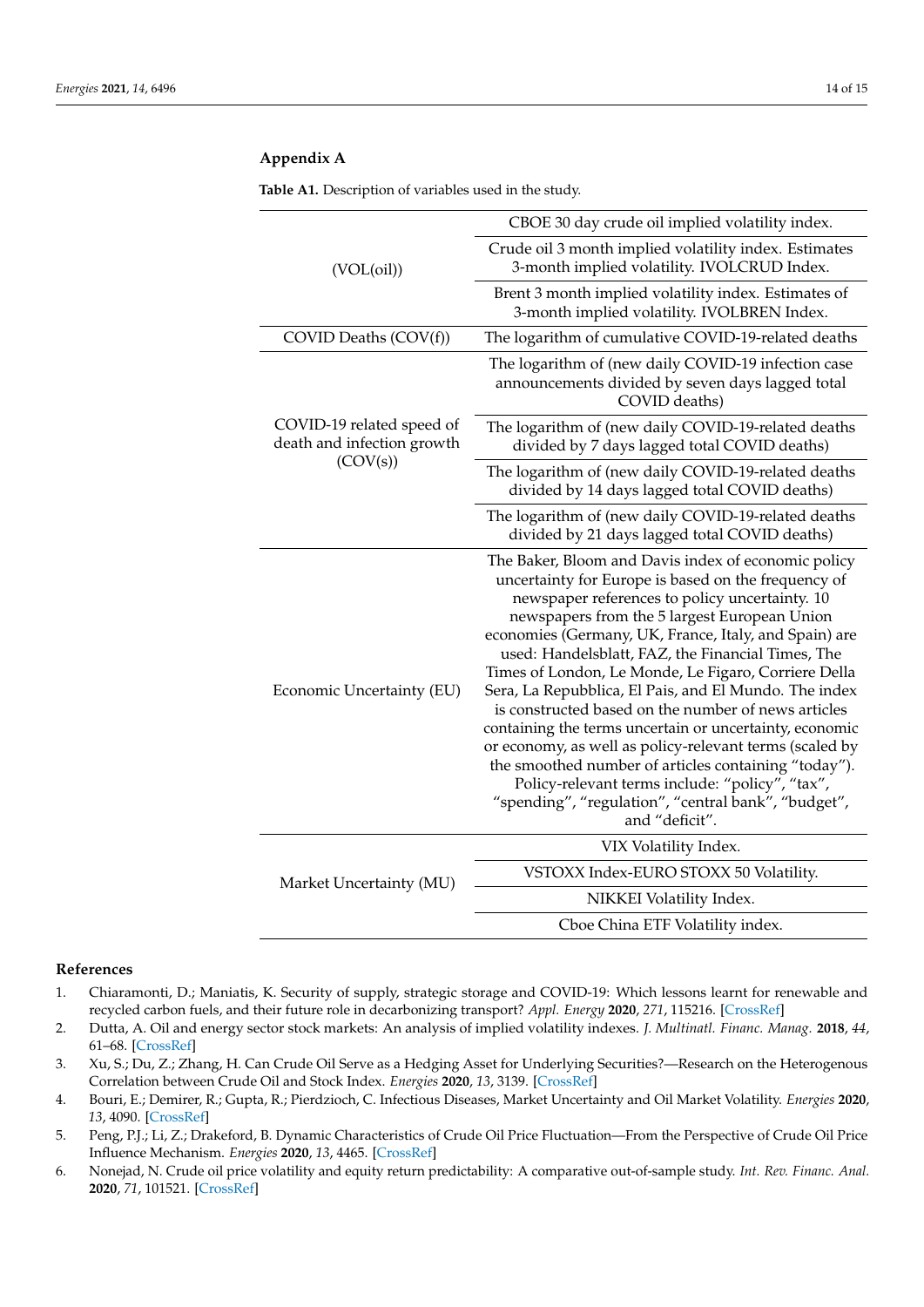| (VOL(oil))                                                          | CBOE 30 day crude oil implied volatility index.                                                                                                                                                                                                                                                                                                                                                                                                                                                                                                                                                                                                                                                                                                                                                              |
|---------------------------------------------------------------------|--------------------------------------------------------------------------------------------------------------------------------------------------------------------------------------------------------------------------------------------------------------------------------------------------------------------------------------------------------------------------------------------------------------------------------------------------------------------------------------------------------------------------------------------------------------------------------------------------------------------------------------------------------------------------------------------------------------------------------------------------------------------------------------------------------------|
|                                                                     | Crude oil 3 month implied volatility index. Estimates<br>3-month implied volatility. IVOLCRUD Index.                                                                                                                                                                                                                                                                                                                                                                                                                                                                                                                                                                                                                                                                                                         |
|                                                                     | Brent 3 month implied volatility index. Estimates of<br>3-month implied volatility. IVOLBREN Index.                                                                                                                                                                                                                                                                                                                                                                                                                                                                                                                                                                                                                                                                                                          |
| COVID Deaths (COV(f))                                               | The logarithm of cumulative COVID-19-related deaths                                                                                                                                                                                                                                                                                                                                                                                                                                                                                                                                                                                                                                                                                                                                                          |
| COVID-19 related speed of<br>death and infection growth<br>(COV(s)) | The logarithm of (new daily COVID-19 infection case<br>announcements divided by seven days lagged total<br>COVID deaths)                                                                                                                                                                                                                                                                                                                                                                                                                                                                                                                                                                                                                                                                                     |
|                                                                     | The logarithm of (new daily COVID-19-related deaths<br>divided by 7 days lagged total COVID deaths)                                                                                                                                                                                                                                                                                                                                                                                                                                                                                                                                                                                                                                                                                                          |
|                                                                     | The logarithm of (new daily COVID-19-related deaths<br>divided by 14 days lagged total COVID deaths)                                                                                                                                                                                                                                                                                                                                                                                                                                                                                                                                                                                                                                                                                                         |
|                                                                     | The logarithm of (new daily COVID-19-related deaths<br>divided by 21 days lagged total COVID deaths)                                                                                                                                                                                                                                                                                                                                                                                                                                                                                                                                                                                                                                                                                                         |
| Economic Uncertainty (EU)                                           | The Baker, Bloom and Davis index of economic policy<br>uncertainty for Europe is based on the frequency of<br>newspaper references to policy uncertainty. 10<br>newspapers from the 5 largest European Union<br>economies (Germany, UK, France, Italy, and Spain) are<br>used: Handelsblatt, FAZ, the Financial Times, The<br>Times of London, Le Monde, Le Figaro, Corriere Della<br>Sera, La Repubblica, El Pais, and El Mundo. The index<br>is constructed based on the number of news articles<br>containing the terms uncertain or uncertainty, economic<br>or economy, as well as policy-relevant terms (scaled by<br>the smoothed number of articles containing "today").<br>Policy-relevant terms include: "policy", "tax",<br>"spending", "regulation", "central bank", "budget",<br>and "deficit". |
| Market Uncertainty (MU)                                             | VIX Volatility Index.                                                                                                                                                                                                                                                                                                                                                                                                                                                                                                                                                                                                                                                                                                                                                                                        |
|                                                                     | VSTOXX Index-EURO STOXX 50 Volatility.                                                                                                                                                                                                                                                                                                                                                                                                                                                                                                                                                                                                                                                                                                                                                                       |
|                                                                     | NIKKEI Volatility Index.                                                                                                                                                                                                                                                                                                                                                                                                                                                                                                                                                                                                                                                                                                                                                                                     |

Cboe China ETF Volatility index.

### <span id="page-13-6"></span>**Appendix A**

#### **References**

- <span id="page-13-0"></span>1. Chiaramonti, D.; Maniatis, K. Security of supply, strategic storage and COVID-19: Which lessons learnt for renewable and recycled carbon fuels, and their future role in decarbonizing transport? *Appl. Energy* **2020**, *271*, 115216. [\[CrossRef\]](http://doi.org/10.1016/j.apenergy.2020.115216)
- <span id="page-13-1"></span>2. Dutta, A. Oil and energy sector stock markets: An analysis of implied volatility indexes. *J. Multinatl. Financ. Manag.* **2018**, *44*, 61–68. [\[CrossRef\]](http://doi.org/10.1016/j.mulfin.2017.12.002)
- <span id="page-13-2"></span>3. Xu, S.; Du, Z.; Zhang, H. Can Crude Oil Serve as a Hedging Asset for Underlying Securities?—Research on the Heterogenous Correlation between Crude Oil and Stock Index. *Energies* **2020**, *13*, 3139. [\[CrossRef\]](http://doi.org/10.3390/en13123139)
- <span id="page-13-3"></span>4. Bouri, E.; Demirer, R.; Gupta, R.; Pierdzioch, C. Infectious Diseases, Market Uncertainty and Oil Market Volatility. *Energies* **2020**, *13*, 4090. [\[CrossRef\]](http://doi.org/10.3390/en13164090)
- <span id="page-13-4"></span>5. Peng, P.J.; Li, Z.; Drakeford, B. Dynamic Characteristics of Crude Oil Price Fluctuation—From the Perspective of Crude Oil Price Influence Mechanism. *Energies* **2020**, *13*, 4465. [\[CrossRef\]](http://doi.org/10.3390/en13174465)
- <span id="page-13-5"></span>6. Nonejad, N. Crude oil price volatility and equity return predictability: A comparative out-of-sample study. *Int. Rev. Financ. Anal.* **2020**, *71*, 101521. [\[CrossRef\]](http://doi.org/10.1016/j.irfa.2020.101521)